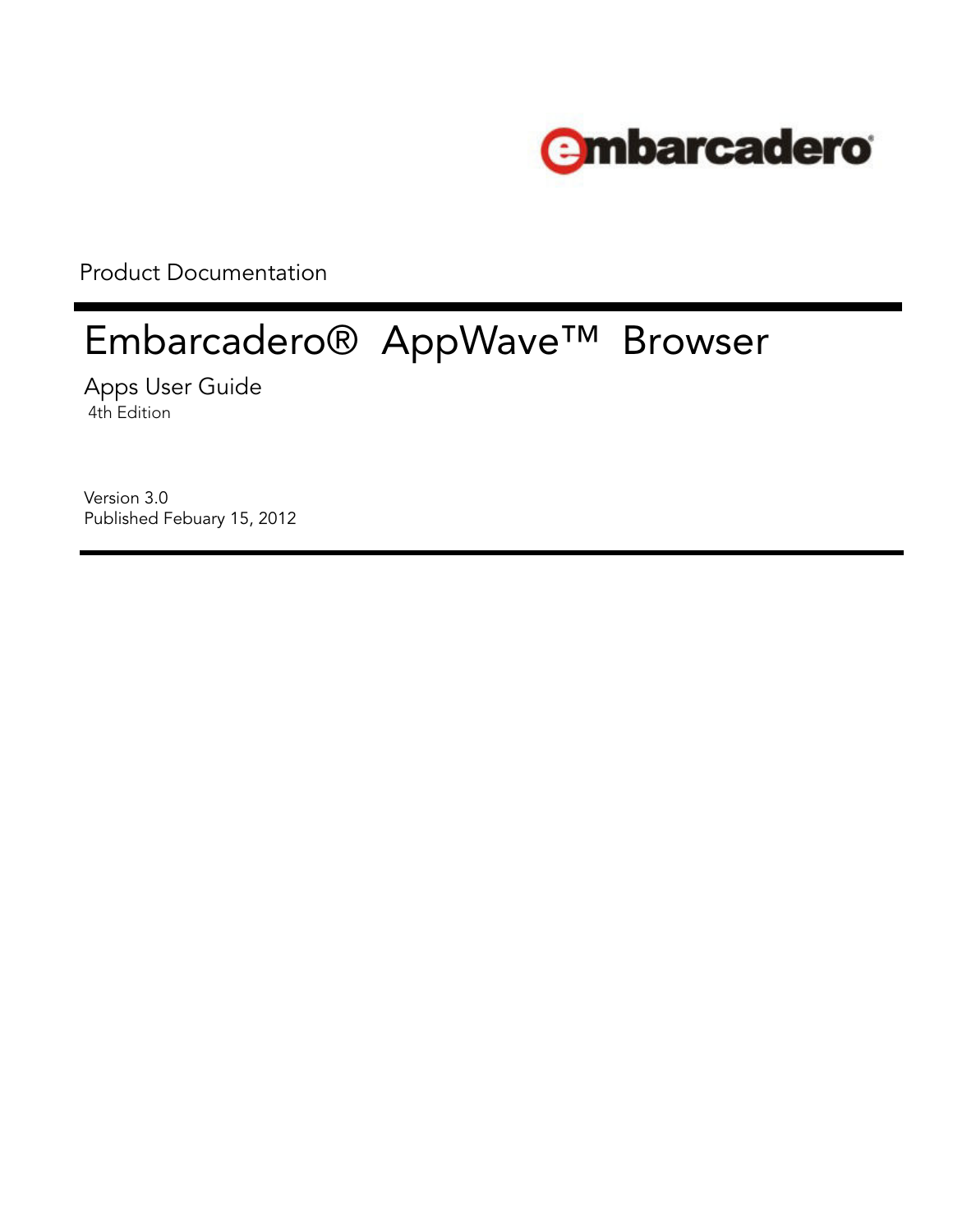

Product Documentation

# Embarcadero® AppWave™ Browser

Apps User Guide 4th Edition

Version 3.0 Published Febuary 15, 2012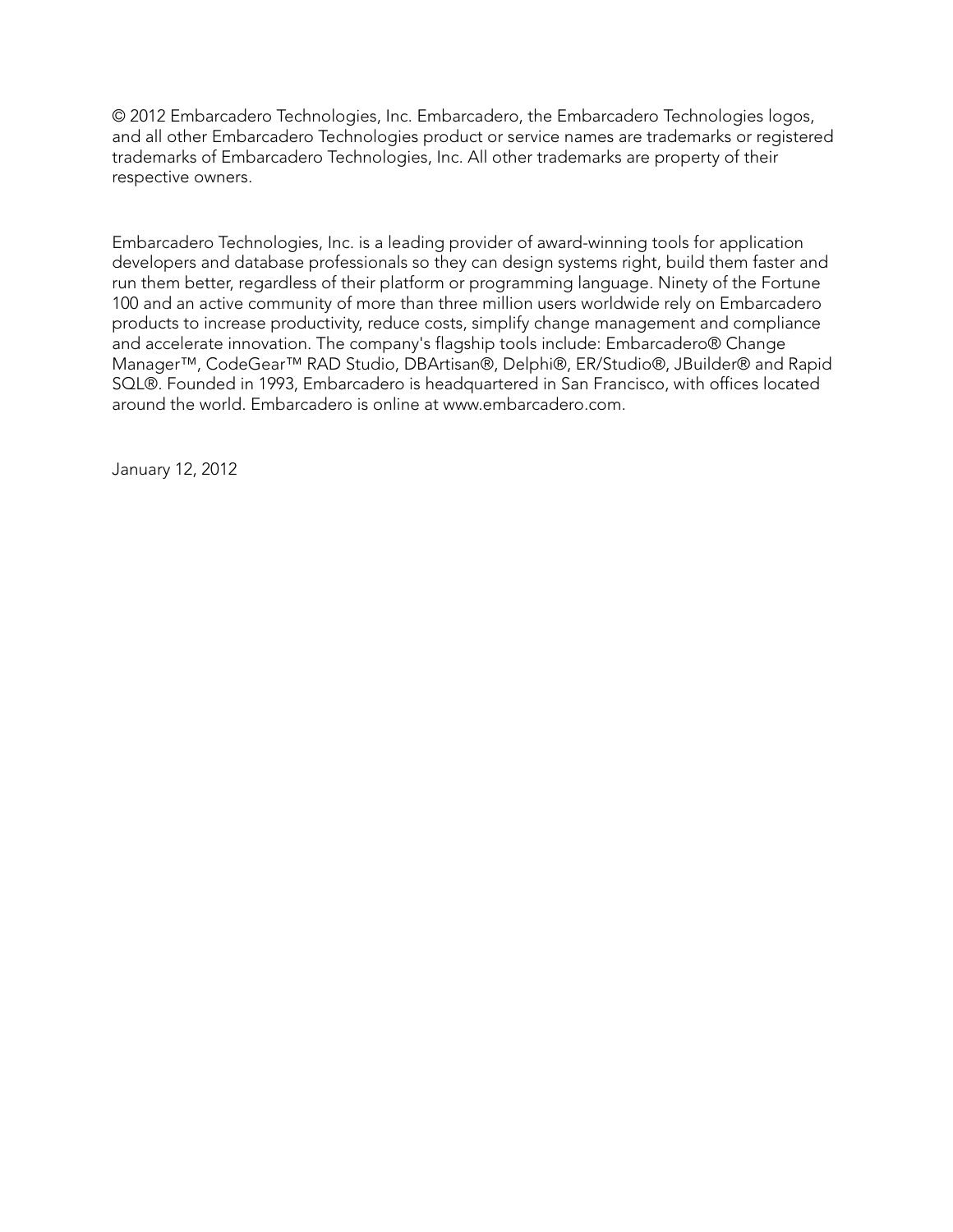© 2012 Embarcadero Technologies, Inc. Embarcadero, the Embarcadero Technologies logos, and all other Embarcadero Technologies product or service names are trademarks or registered trademarks of Embarcadero Technologies, Inc. All other trademarks are property of their respective owners.

Embarcadero Technologies, Inc. is a leading provider of award-winning tools for application developers and database professionals so they can design systems right, build them faster and run them better, regardless of their platform or programming language. Ninety of the Fortune 100 and an active community of more than three million users worldwide rely on Embarcadero products to increase productivity, reduce costs, simplify change management and compliance and accelerate innovation. The company's flagship tools include: Embarcadero® Change Manager™, CodeGear™ RAD Studio, DBArtisan®, Delphi®, ER/Studio®, JBuilder® and Rapid SQL®. Founded in 1993, Embarcadero is headquartered in San Francisco, with offices located around the world. Embarcadero is online at www.embarcadero.com.

January 12, 2012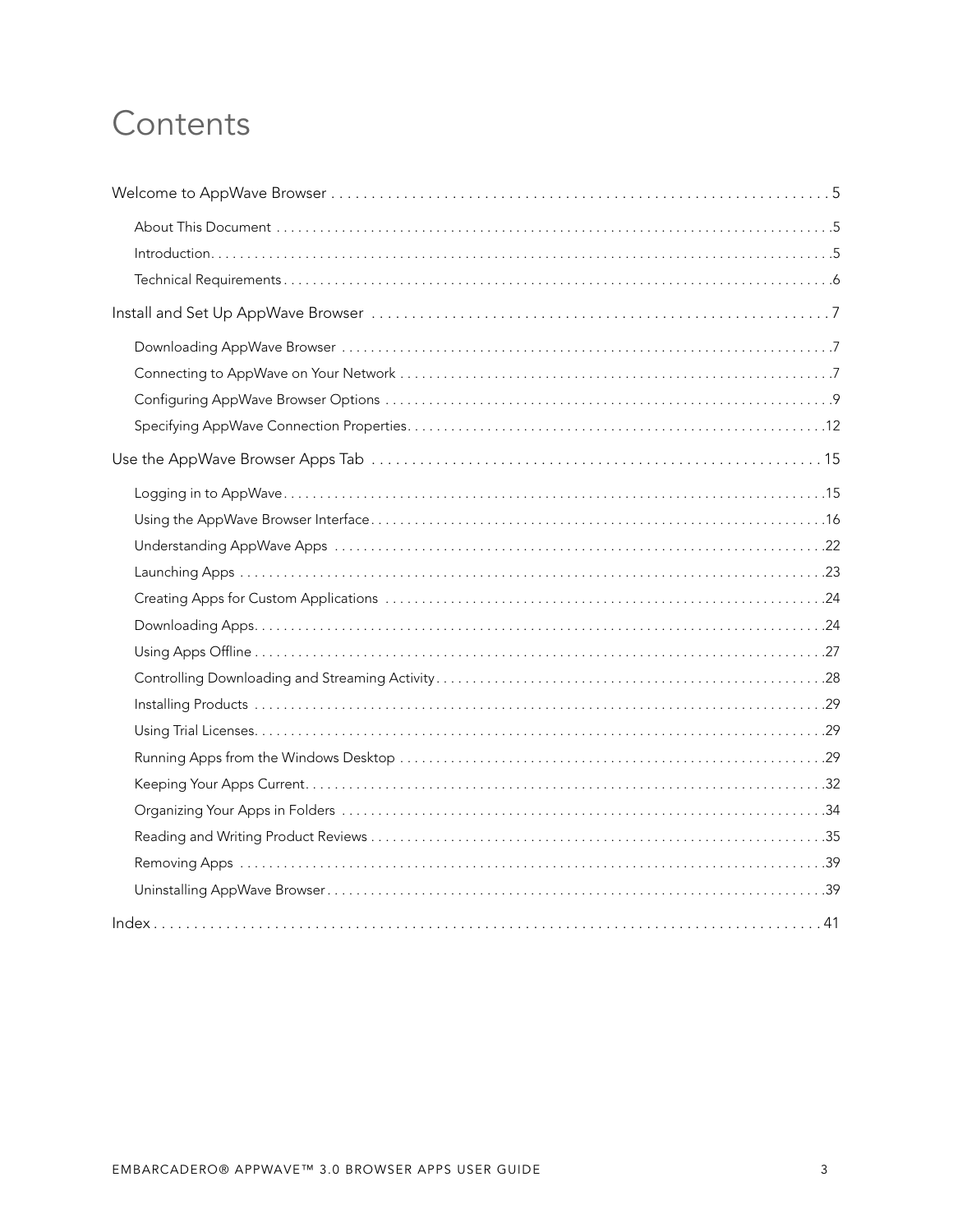## Contents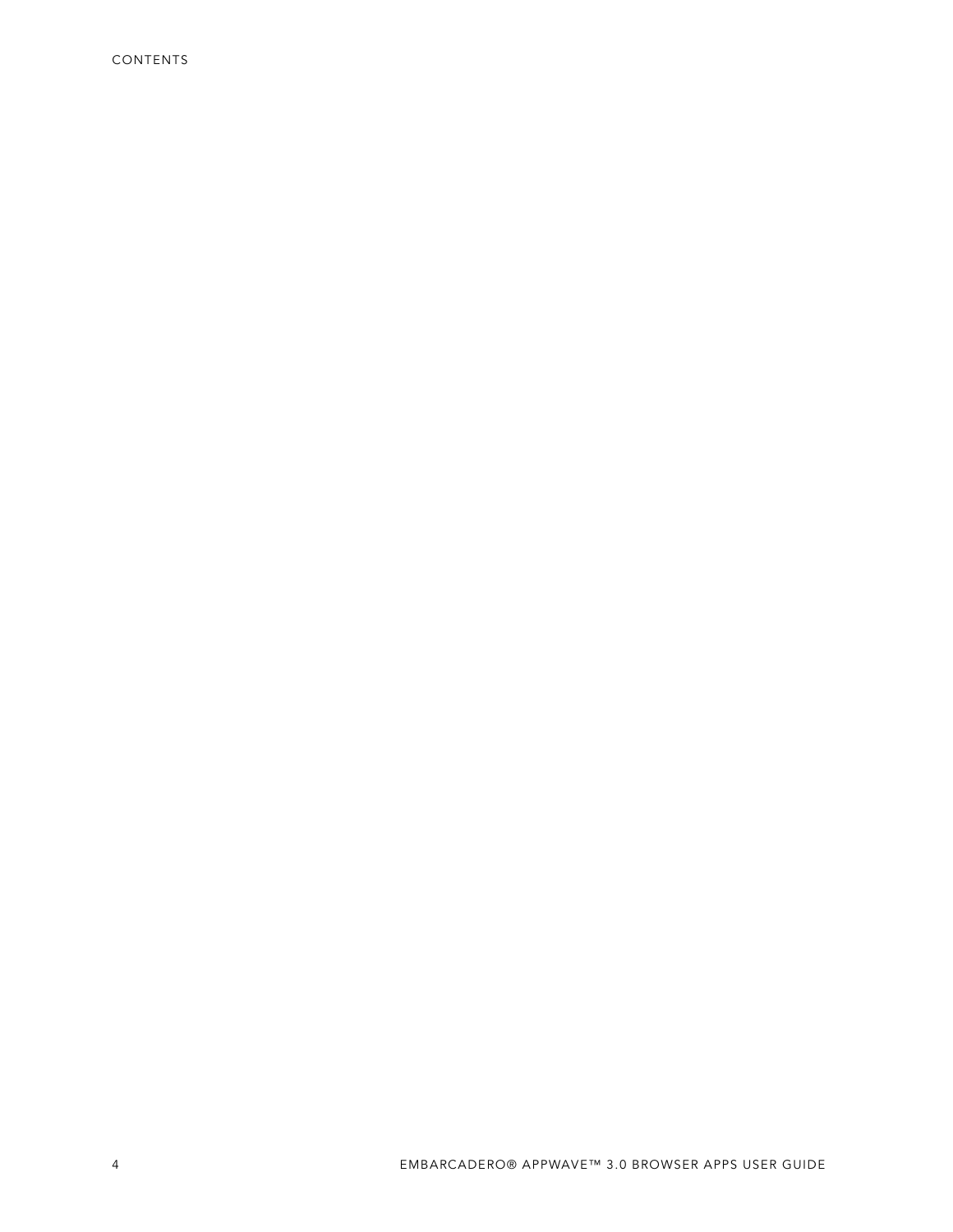CONTENTS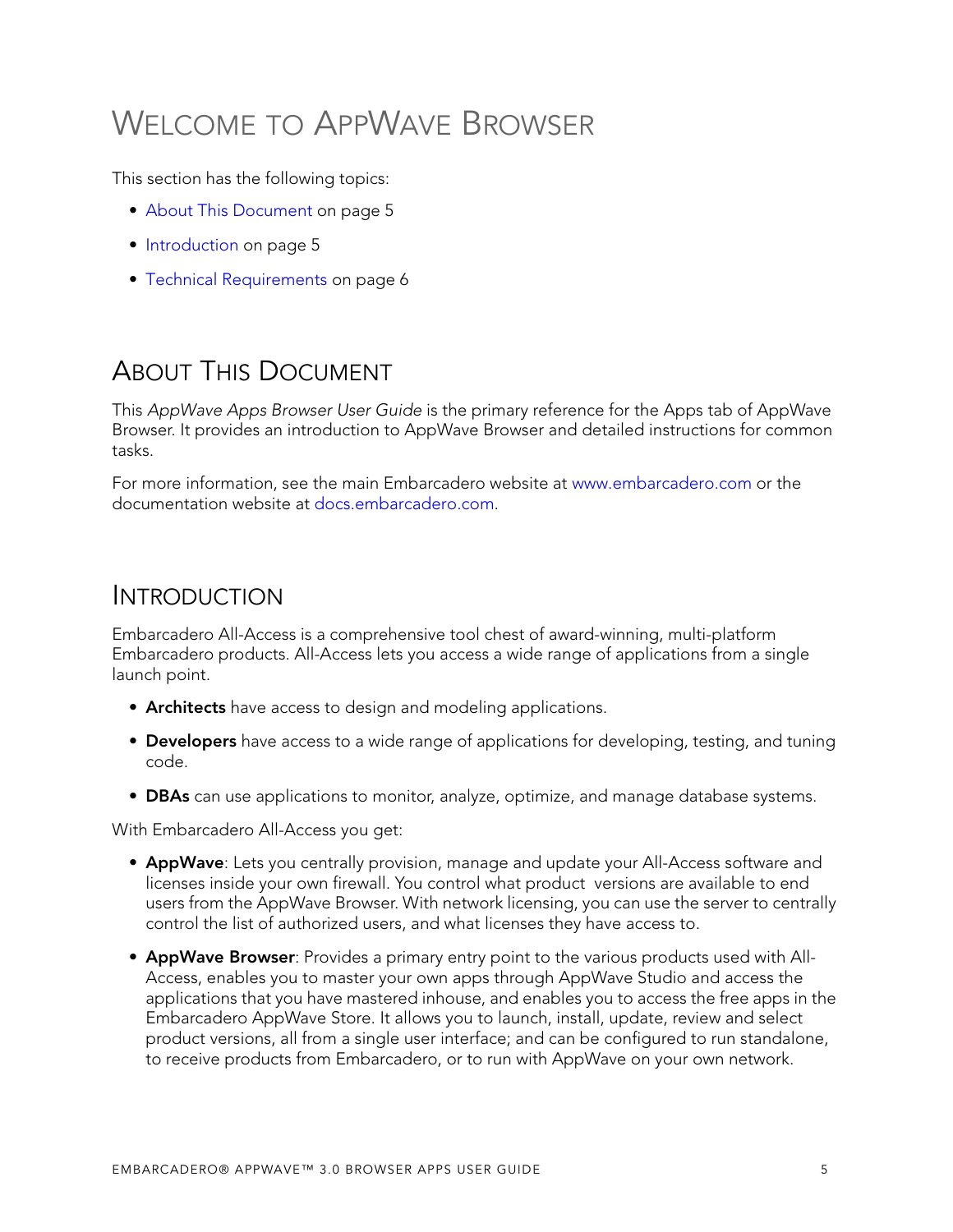## <span id="page-4-0"></span>WELCOME TO APPWAVE BROWSER

This section has the following topics:

- [About This Document on page 5](#page-4-1)
- [Introduction on page 5](#page-4-2)
- [Technical Requirements on page 6](#page-5-0)

## <span id="page-4-1"></span>ABOUT THIS DOCUMENT

This AppWave Apps Browser User Guide is the primary reference for the Apps tab of AppWave Browser. It provides an introduction to AppWave Browser and detailed instructions for common tasks.

For more information, see the main Embarcadero website at [www.embarcadero.com](http://www.embarcadero.com) or the documentation website at [docs.embarcadero.com.](docs.embarcadero.com)

#### <span id="page-4-2"></span>INTRODUCTION

Embarcadero All-Access is a comprehensive tool chest of award-winning, multi-platform Embarcadero products. All-Access lets you access a wide range of applications from a single launch point.

- **Architects** have access to design and modeling applications.
- **Developers** have access to a wide range of applications for developing, testing, and tuning code.
- **DBAs** can use applications to monitor, analyze, optimize, and manage database systems.

With Embarcadero All-Access you get:

- **AppWave**: Lets you centrally provision, manage and update your All-Access software and licenses inside your own firewall. You control what product versions are available to end users from the AppWave Browser. With network licensing, you can use the server to centrally control the list of authorized users, and what licenses they have access to.
- **AppWave Browser**: Provides a primary entry point to the various products used with All-Access, enables you to master your own apps through AppWave Studio and access the applications that you have mastered inhouse, and enables you to access the free apps in the Embarcadero AppWave Store. It allows you to launch, install, update, review and select product versions, all from a single user interface; and can be configured to run standalone, to receive products from Embarcadero, or to run with AppWave on your own network.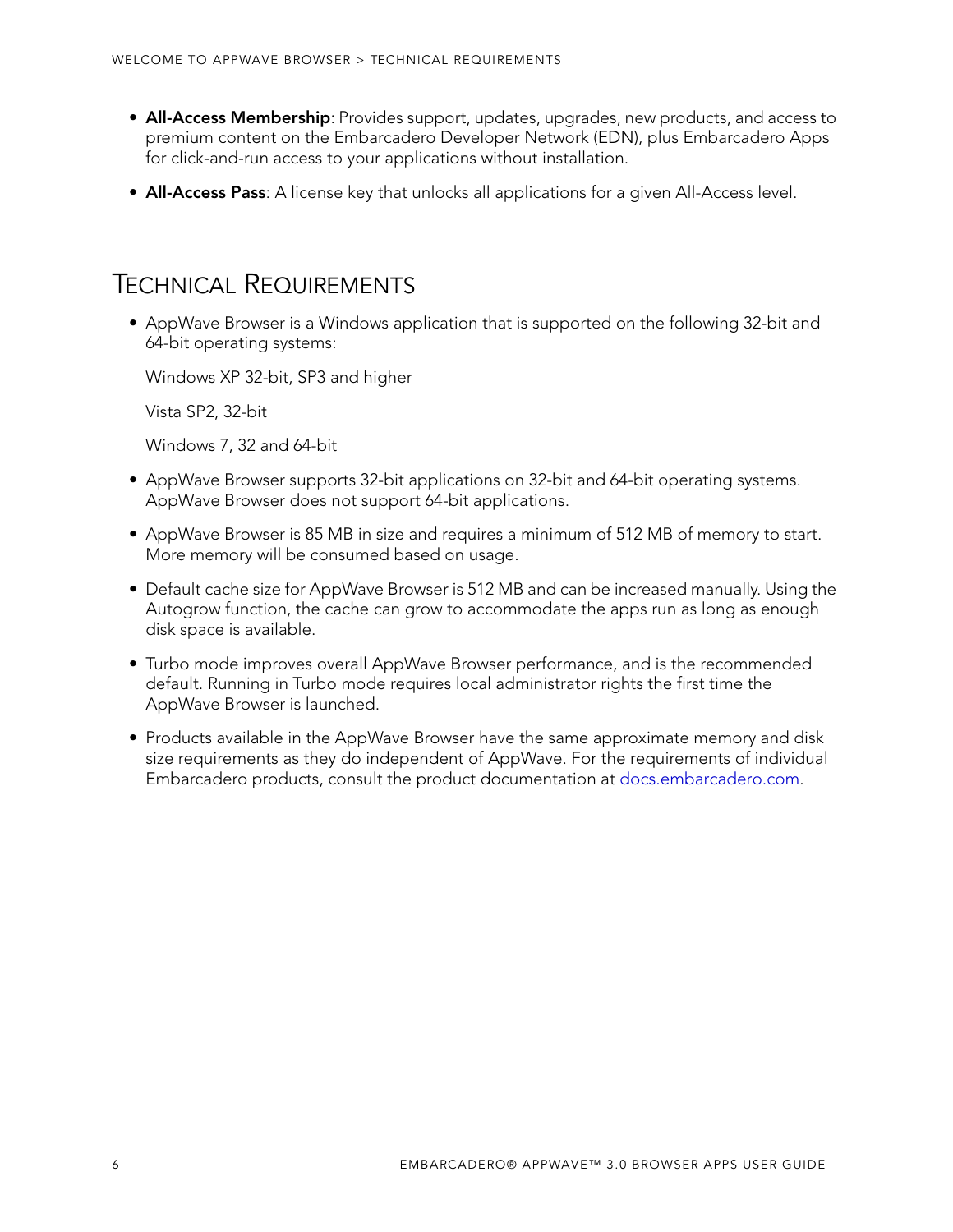- <span id="page-5-1"></span>• **All-Access Membership**: Provides support, updates, upgrades, new products, and access to premium content on the Embarcadero Developer Network (EDN), plus Embarcadero Apps for click-and-run access to your applications without installation.
- **All-Access Pass**: A license key that unlocks all applications for a given All-Access level.

#### <span id="page-5-0"></span>TECHNICAL REQUIREMENTS

• AppWave Browser is a Windows application that is supported on the following 32-bit and 64-bit operating systems:

Windows XP 32-bit, SP3 and higher

Vista SP2, 32-bit

Windows 7, 32 and 64-bit

- AppWave Browser supports 32-bit applications on 32-bit and 64-bit operating systems. AppWave Browser does not support 64-bit applications.
- AppWave Browser is 85 MB in size and requires a minimum of 512 MB of memory to start. More memory will be consumed based on usage.
- Default cache size for AppWave Browser is 512 MB and can be increased manually. Using the Autogrow function, the cache can grow to accommodate the apps run as long as enough disk space is available.
- Turbo mode improves overall AppWave Browser performance, and is the recommended default. Running in Turbo mode requires local administrator rights the first time the AppWave Browser is launched.
- Products available in the AppWave Browser have the same approximate memory and disk size requirements as they do independent of AppWave. For the requirements of individual Embarcadero products, consult the product documentation at [docs.embarcadero.com.](http://docs.embarcadero.com)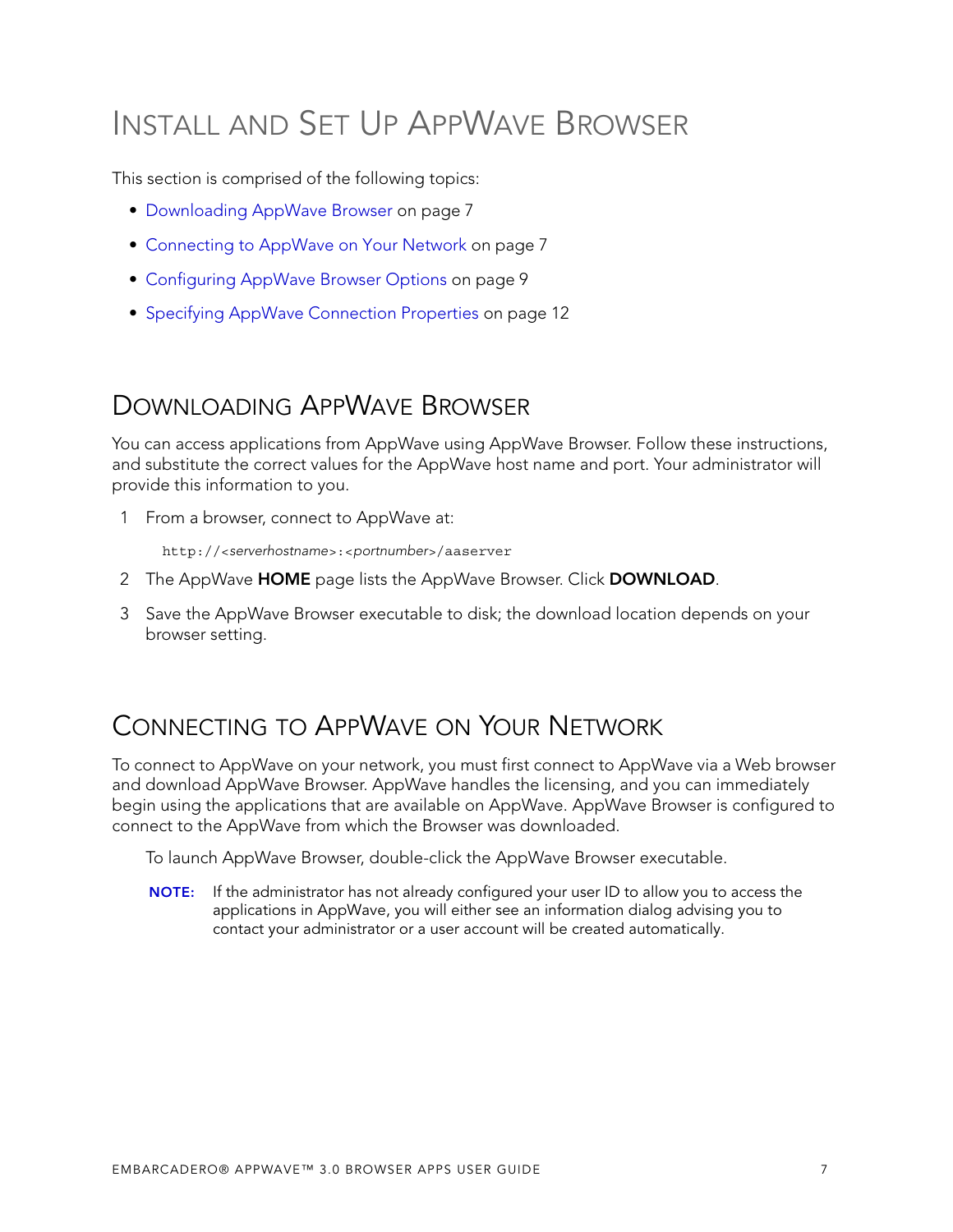## <span id="page-6-0"></span>INSTALL AND SET UP APPWAVE BROWSER

This section is comprised of the following topics:

- [Downloading AppWave Browser on page 7](#page-6-1)
- [Connecting to AppWave on Your Network on page 7](#page-6-2)
- [Configuring AppWave Browser Options on page 9](#page-8-0)
- [Specifying AppWave Connection Properties on page 12](#page-11-0)

### <span id="page-6-1"></span>DOWNLOADING APPWAVE BROWSER

You can access applications from AppWave using AppWave Browser. Follow these instructions, and substitute the correct values for the AppWave host name and port. Your administrator will provide this information to you.

1 From a browser, connect to AppWave at:

http://<serverhostname>:<portnumber>/aaserver

- 2 The AppWave **HOME** page lists the AppWave Browser. Click **DOWNLOAD**.
- 3 Save the AppWave Browser executable to disk; the download location depends on your browser setting.

### <span id="page-6-2"></span>CONNECTING TO APPWAVE ON YOUR NETWORK

<span id="page-6-3"></span>To connect to AppWave on your network, you must first connect to AppWave via a Web browser and download AppWave Browser. AppWave handles the licensing, and you can immediately begin using the applications that are available on AppWave. AppWave Browser is configured to connect to the AppWave from which the Browser was downloaded.

<span id="page-6-4"></span>To launch AppWave Browser, double-click the AppWave Browser executable.

**NOTE:** If the administrator has not already configured your user ID to allow you to access the applications in AppWave, you will either see an information dialog advising you to contact your administrator or a user account will be created automatically.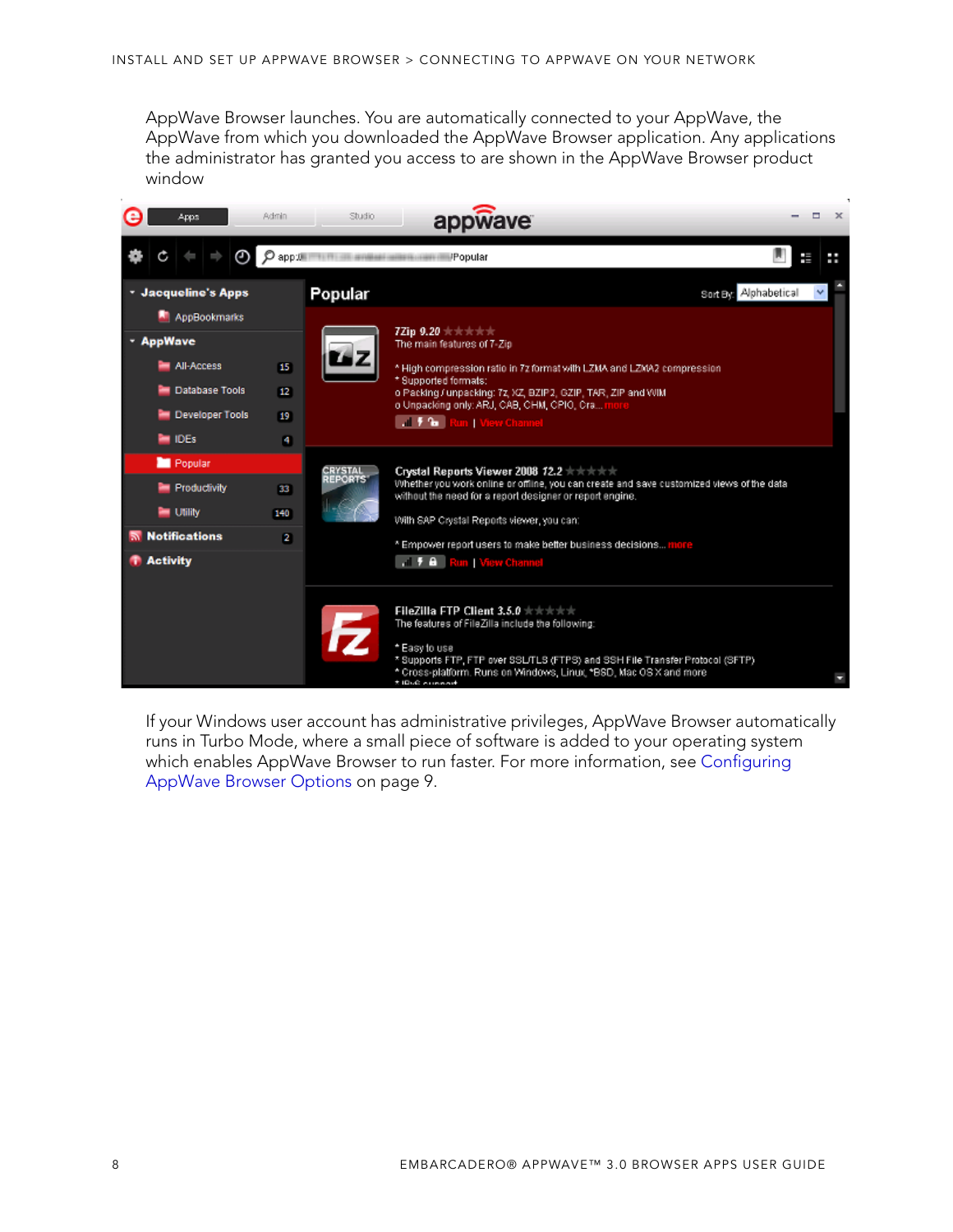AppWave Browser launches. You are automatically connected to your AppWave, the AppWave from which you downloaded the AppWave Browser application. Any applications the administrator has granted you access to are shown in the AppWave Browser product window



If your Windows user account has administrative privileges, AppWave Browser automatically runs in Turbo Mode, where a small piece of software is added to your operating system which enables AppWave Browser to run faster. For more information, see [Configuring](#page-8-0)  [AppWave Browser Options on page 9](#page-8-0).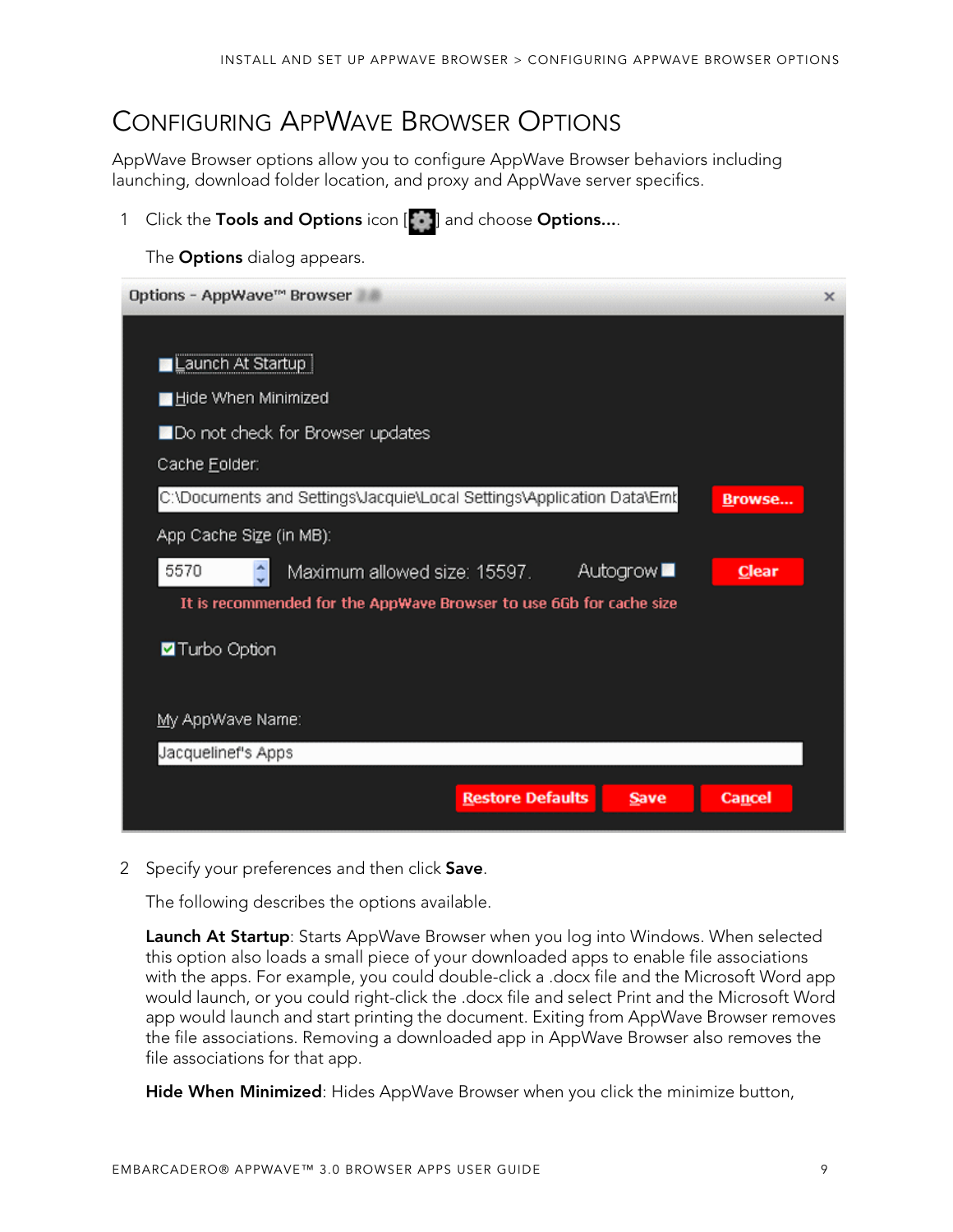### <span id="page-8-2"></span><span id="page-8-1"></span><span id="page-8-0"></span>CONFIGURING APPWAVE BROWSER OPTIONS

AppWave Browser options allow you to configure AppWave Browser behaviors including launching, download folder location, and proxy and AppWave server specifics.

1 Click the **Tools and Options** icon [ $\bullet$ ] and choose **Options...**.

<span id="page-8-6"></span><span id="page-8-3"></span>The **Options** dialog appears.

| Options - AppWave™ Browser                                                      | $\times$ |
|---------------------------------------------------------------------------------|----------|
|                                                                                 |          |
| ∥Launch At Startup                                                              |          |
| Hide When Minimized                                                             |          |
| ■ Do not check for Browser updates                                              |          |
| Cache Eolder:                                                                   |          |
| C:\Documents and Settings\Jacquie\Local Settings\Application Data\Emk<br>Browse |          |
| App Cache Size (in MB):                                                         |          |
| 5570<br>Autogrow <b>II</b><br>Maximum allowed size: 15597.<br><b>Clear</b>      |          |
| It is recommended for the AppWave Browser to use 6Gb for cache size             |          |
| Turbo Option                                                                    |          |
| My AppWave Name:                                                                |          |
| Jacquelinef's Apps                                                              |          |
| <b>Restore Defaults</b><br>Cancel<br><b>Save</b>                                |          |

2 Specify your preferences and then click **Save**.

The following describes the options available.

<span id="page-8-5"></span>**Launch At Startup**: Starts AppWave Browser when you log into Windows. When selected this option also loads a small piece of your downloaded apps to enable file associations with the apps. For example, you could double-click a .docx file and the Microsoft Word app would launch, or you could right-click the .docx file and select Print and the Microsoft Word app would launch and start printing the document. Exiting from AppWave Browser removes the file associations. Removing a downloaded app in AppWave Browser also removes the file associations for that app.

<span id="page-8-4"></span>**Hide When Minimized**: Hides AppWave Browser when you click the minimize button,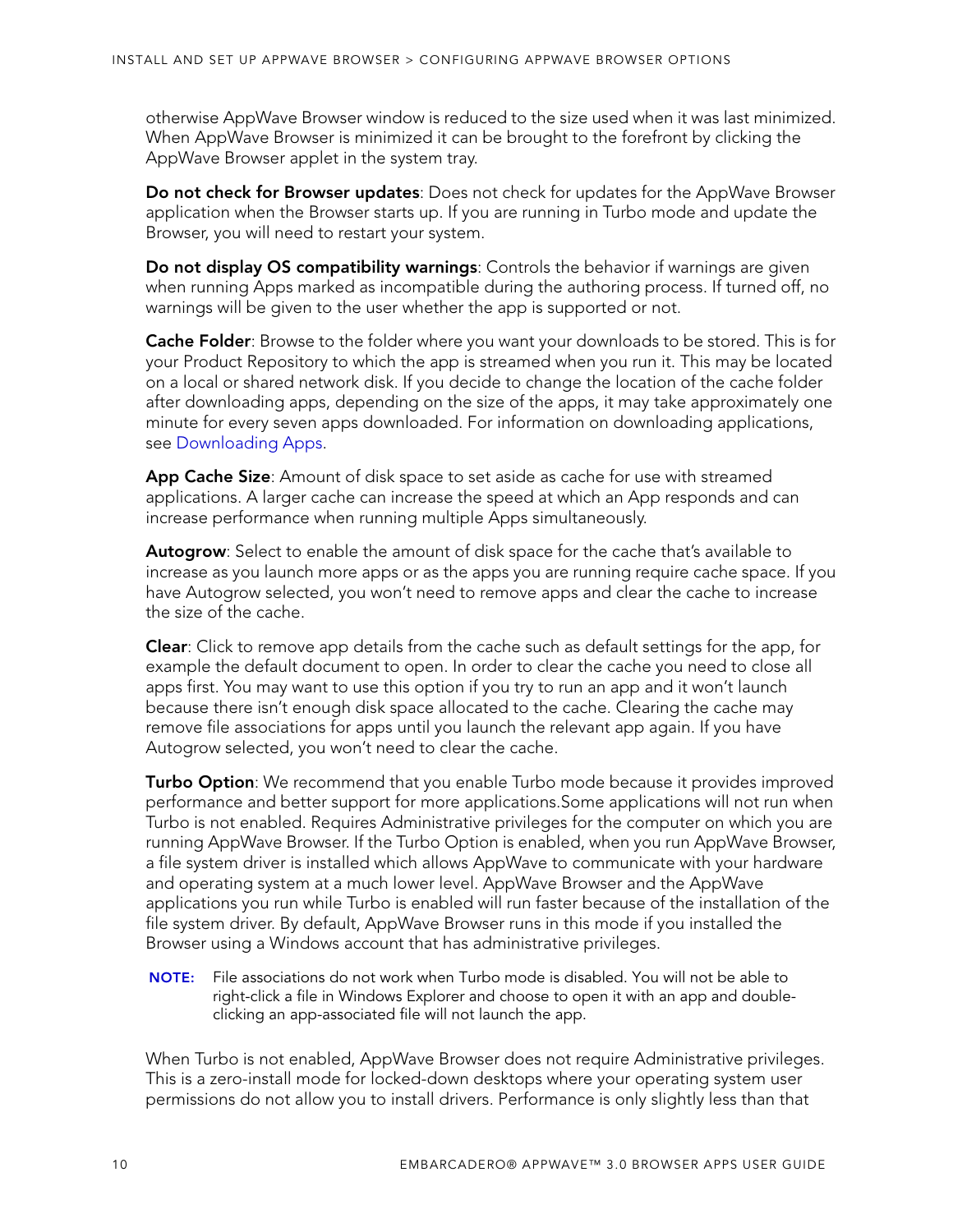otherwise AppWave Browser window is reduced to the size used when it was last minimized. When AppWave Browser is minimized it can be brought to the forefront by clicking the AppWave Browser applet in the system tray.

<span id="page-9-3"></span>**Do not check for Browser updates**: Does not check for updates for the AppWave Browser application when the Browser starts up. If you are running in Turbo mode and update the Browser, you will need to restart your system.

**Do not display OS compatibility warnings**: Controls the behavior if warnings are given when running Apps marked as incompatible during the authoring process. If turned off, no warnings will be given to the user whether the app is supported or not.

<span id="page-9-2"></span><span id="page-9-0"></span>**Cache Folder**: Browse to the folder where you want your downloads to be stored. This is for your Product Repository to which the app is streamed when you run it. This may be located on a local or shared network disk. If you decide to change the location of the cache folder after downloading apps, depending on the size of the apps, it may take approximately one minute for every seven apps downloaded. For information on downloading applications, see [Downloading Apps](#page-23-2).

<span id="page-9-1"></span>**App Cache Size**: Amount of disk space to set aside as cache for use with streamed applications. A larger cache can increase the speed at which an App responds and can increase performance when running multiple Apps simultaneously.

**Autogrow**: Select to enable the amount of disk space for the cache that's available to increase as you launch more apps or as the apps you are running require cache space. If you have Autogrow selected, you won't need to remove apps and clear the cache to increase the size of the cache.

**Clear**: Click to remove app details from the cache such as default settings for the app, for example the default document to open. In order to clear the cache you need to close all apps first. You may want to use this option if you try to run an app and it won't launch because there isn't enough disk space allocated to the cache. Clearing the cache may remove file associations for apps until you launch the relevant app again. If you have Autogrow selected, you won't need to clear the cache.

<span id="page-9-4"></span>**Turbo Option**: We recommend that you enable Turbo mode because it provides improved performance and better support for more applications.Some applications will not run when Turbo is not enabled. Requires Administrative privileges for the computer on which you are running AppWave Browser. If the Turbo Option is enabled, when you run AppWave Browser, a file system driver is installed which allows AppWave to communicate with your hardware and operating system at a much lower level. AppWave Browser and the AppWave applications you run while Turbo is enabled will run faster because of the installation of the file system driver. By default, AppWave Browser runs in this mode if you installed the Browser using a Windows account that has administrative privileges.

**NOTE:** File associations do not work when Turbo mode is disabled. You will not be able to right-click a file in Windows Explorer and choose to open it with an app and doubleclicking an app-associated file will not launch the app.

When Turbo is not enabled, AppWave Browser does not require Administrative privileges. This is a zero-install mode for locked-down desktops where your operating system user permissions do not allow you to install drivers. Performance is only slightly less than that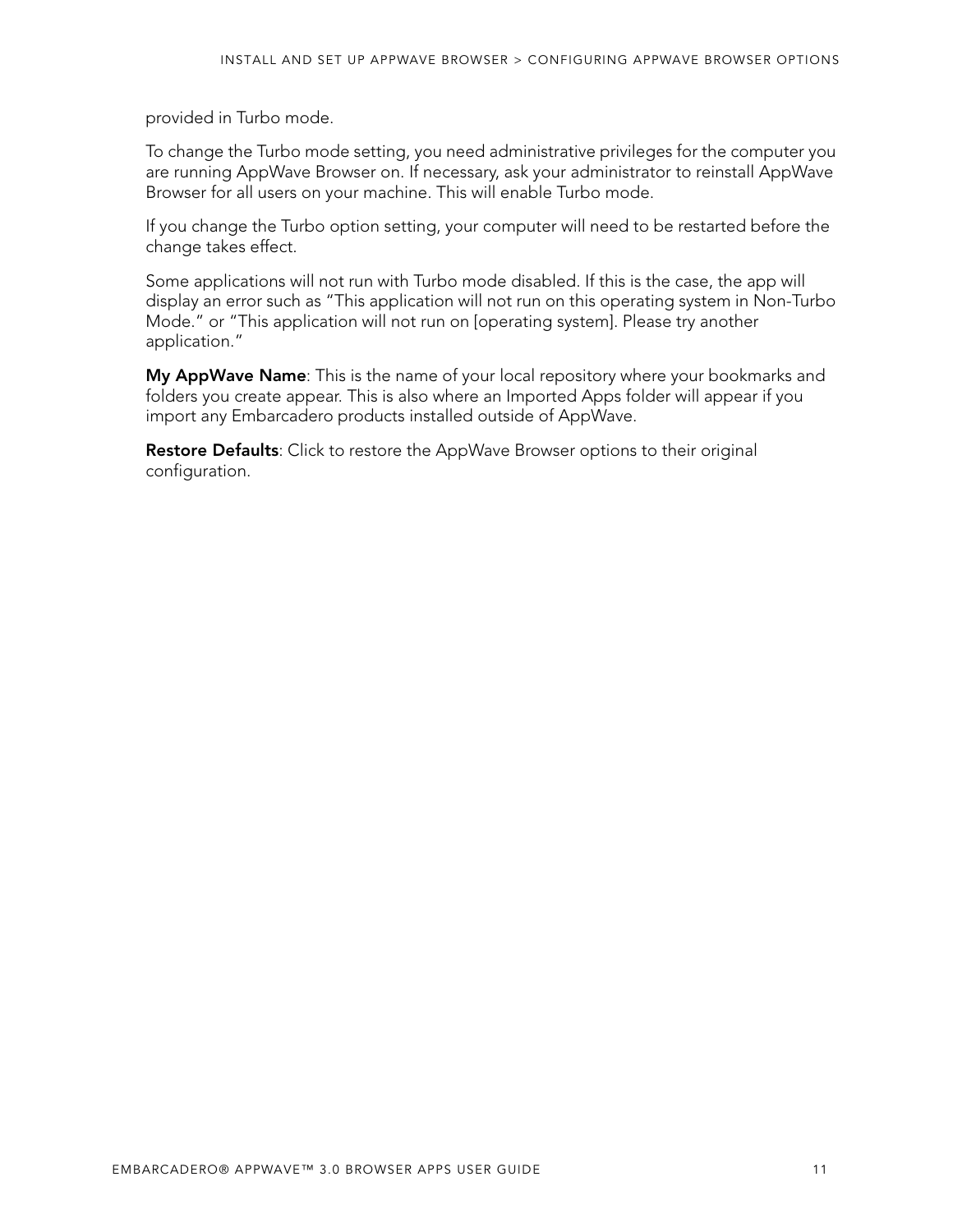provided in Turbo mode.

To change the Turbo mode setting, you need administrative privileges for the computer you are running AppWave Browser on. If necessary, ask your administrator to reinstall AppWave Browser for all users on your machine. This will enable Turbo mode.

If you change the Turbo option setting, your computer will need to be restarted before the change takes effect.

Some applications will not run with Turbo mode disabled. If this is the case, the app will display an error such as "This application will not run on this operating system in Non-Turbo Mode." or "This application will not run on [operating system]. Please try another application."

<span id="page-10-0"></span>**My AppWave Name**: This is the name of your local repository where your bookmarks and folders you create appear. This is also where an Imported Apps folder will appear if you import any Embarcadero products installed outside of AppWave.

<span id="page-10-1"></span>**Restore Defaults**: Click to restore the AppWave Browser options to their original configuration.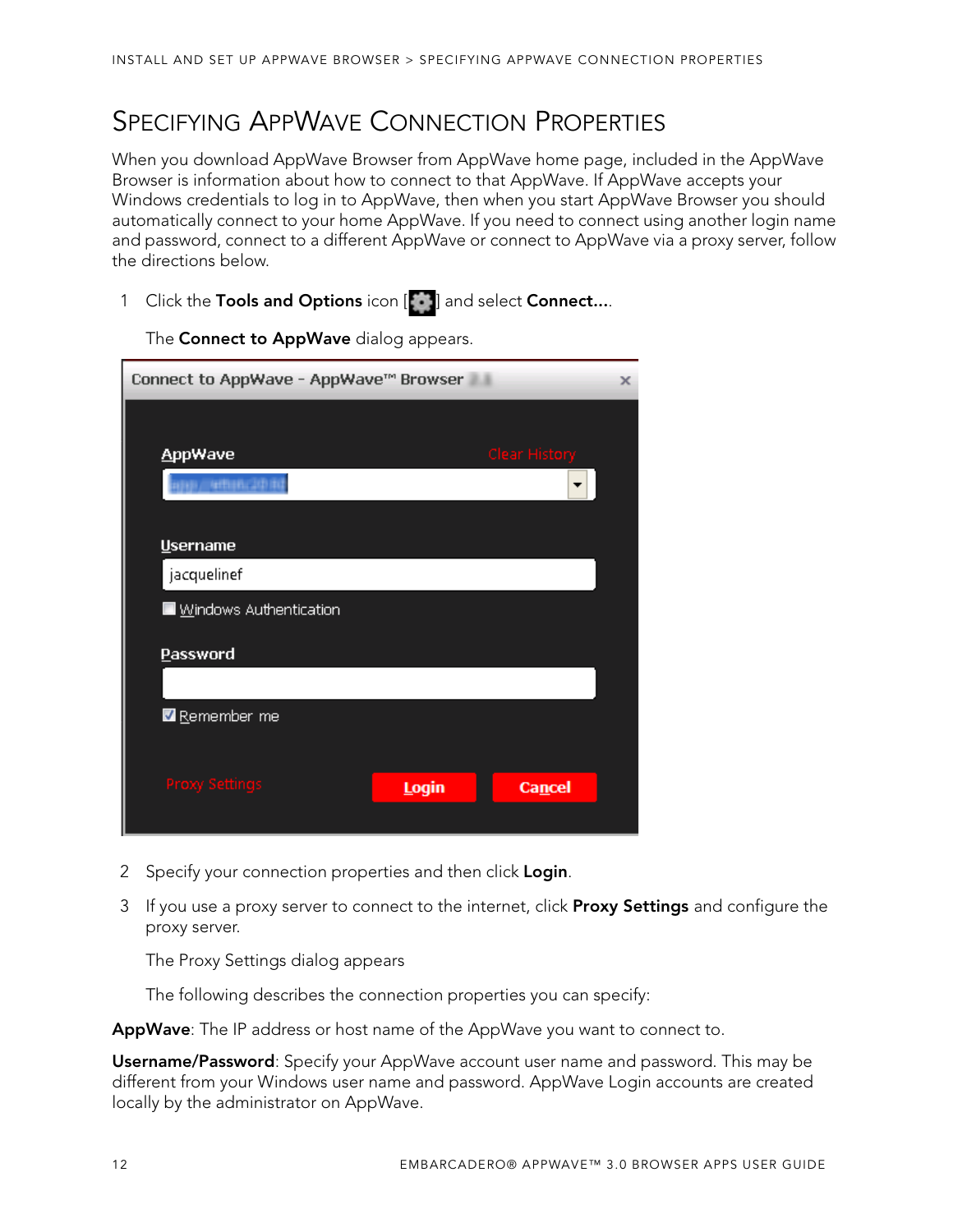### <span id="page-11-4"></span><span id="page-11-1"></span><span id="page-11-0"></span>SPECIFYING APPWAVE CONNECTION PROPERTIES

When you download AppWave Browser from AppWave home page, included in the AppWave Browser is information about how to connect to that AppWave. If AppWave accepts your Windows credentials to log in to AppWave, then when you start AppWave Browser you should automatically connect to your home AppWave. If you need to connect using another login name and password, connect to a different AppWave or connect to AppWave via a proxy server, follow the directions below.

1 Click the **Tools and Options** icon [[ ] and select **Connect...**.

| Connect to AppWave - AppWave™ Browser |       |               |  |  |
|---------------------------------------|-------|---------------|--|--|
|                                       |       |               |  |  |
| AppWave                               |       | Clear History |  |  |
| $/$ uthin 201                         |       | ▼             |  |  |
|                                       |       |               |  |  |
| Username                              |       |               |  |  |
| jacquelinef                           |       |               |  |  |
| Windows Authentication                |       |               |  |  |
| <b>Password</b>                       |       |               |  |  |
|                                       |       |               |  |  |
| Remember me                           |       |               |  |  |
|                                       |       |               |  |  |
| Proxy Settings                        | Login | <b>Cancel</b> |  |  |
|                                       |       |               |  |  |

The **Connect to AppWave** dialog appears.

- 2 Specify your connection properties and then click **Login**.
- 3 If you use a proxy server to connect to the internet, click **Proxy Settings** and configure the proxy server.

The Proxy Settings dialog appears

The following describes the connection properties you can specify:

<span id="page-11-2"></span>**AppWave**: The IP address or host name of the AppWave you want to connect to.

<span id="page-11-3"></span>**Username/Password**: Specify your AppWave account user name and password. This may be different from your Windows user name and password. AppWave Login accounts are created locally by the administrator on AppWave.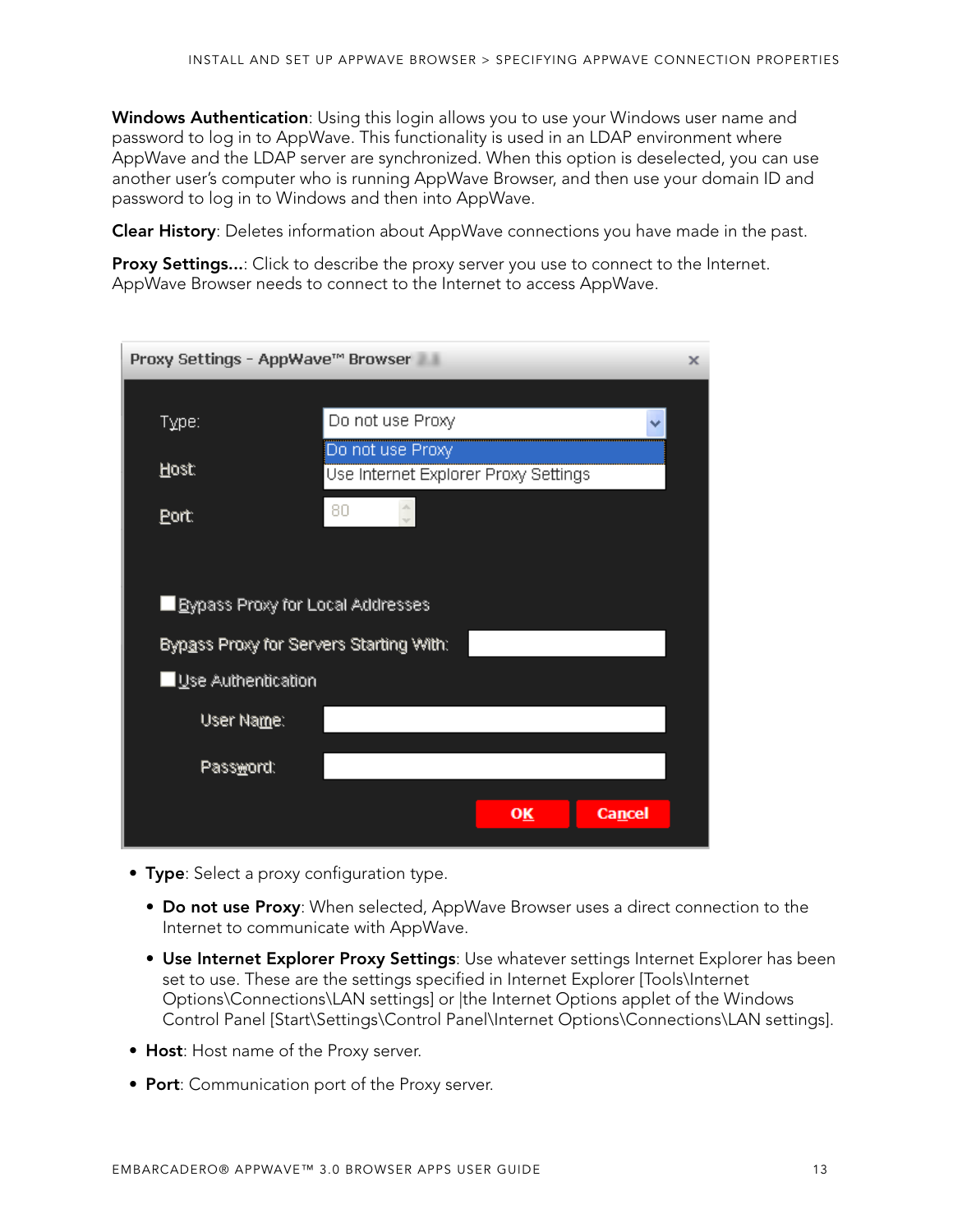<span id="page-12-0"></span>**Windows Authentication**: Using this login allows you to use your Windows user name and password to log in to AppWave. This functionality is used in an LDAP environment where AppWave and the LDAP server are synchronized. When this option is deselected, you can use another user's computer who is running AppWave Browser, and then use your domain ID and password to log in to Windows and then into AppWave.

<span id="page-12-1"></span>**Clear History**: Deletes information about AppWave connections you have made in the past.

<span id="page-12-5"></span>**Proxy Settings...**: Click to describe the proxy server you use to connect to the Internet. AppWave Browser needs to connect to the Internet to access AppWave.

| Proxy Settings - AppWave™ Browser       |                                                          |  |  |  |
|-----------------------------------------|----------------------------------------------------------|--|--|--|
|                                         |                                                          |  |  |  |
| Type:                                   | Do not use Proxy                                         |  |  |  |
| Host:                                   | Do not use Proxy<br>Use Internet Explorer Proxy Settings |  |  |  |
| <b>Port</b>                             | 80                                                       |  |  |  |
|                                         |                                                          |  |  |  |
| <b>Bypass Proxy for Local Addresses</b> |                                                          |  |  |  |
| Bypass Proxy for Servers Starting With: |                                                          |  |  |  |
| Use Authentication                      |                                                          |  |  |  |
| User Na <u>m</u> e:                     |                                                          |  |  |  |
| Password:                               |                                                          |  |  |  |
|                                         | OK<br><b>Cancel</b>                                      |  |  |  |
|                                         |                                                          |  |  |  |

- <span id="page-12-6"></span><span id="page-12-2"></span>• **Type**: Select a proxy configuration type.
	- **Do not use Proxy**: When selected, AppWave Browser uses a direct connection to the Internet to communicate with AppWave.
	- **Use Internet Explorer Proxy Settings**: Use whatever settings Internet Explorer has been set to use. These are the settings specified in Internet Explorer [Tools\Internet Options\Connections\LAN settings] or |the Internet Options applet of the Windows Control Panel [Start\Settings\Control Panel\Internet Options\Connections\LAN settings].
- <span id="page-12-3"></span>• **Host**: Host name of the Proxy server.
- <span id="page-12-4"></span>• **Port**: Communication port of the Proxy server.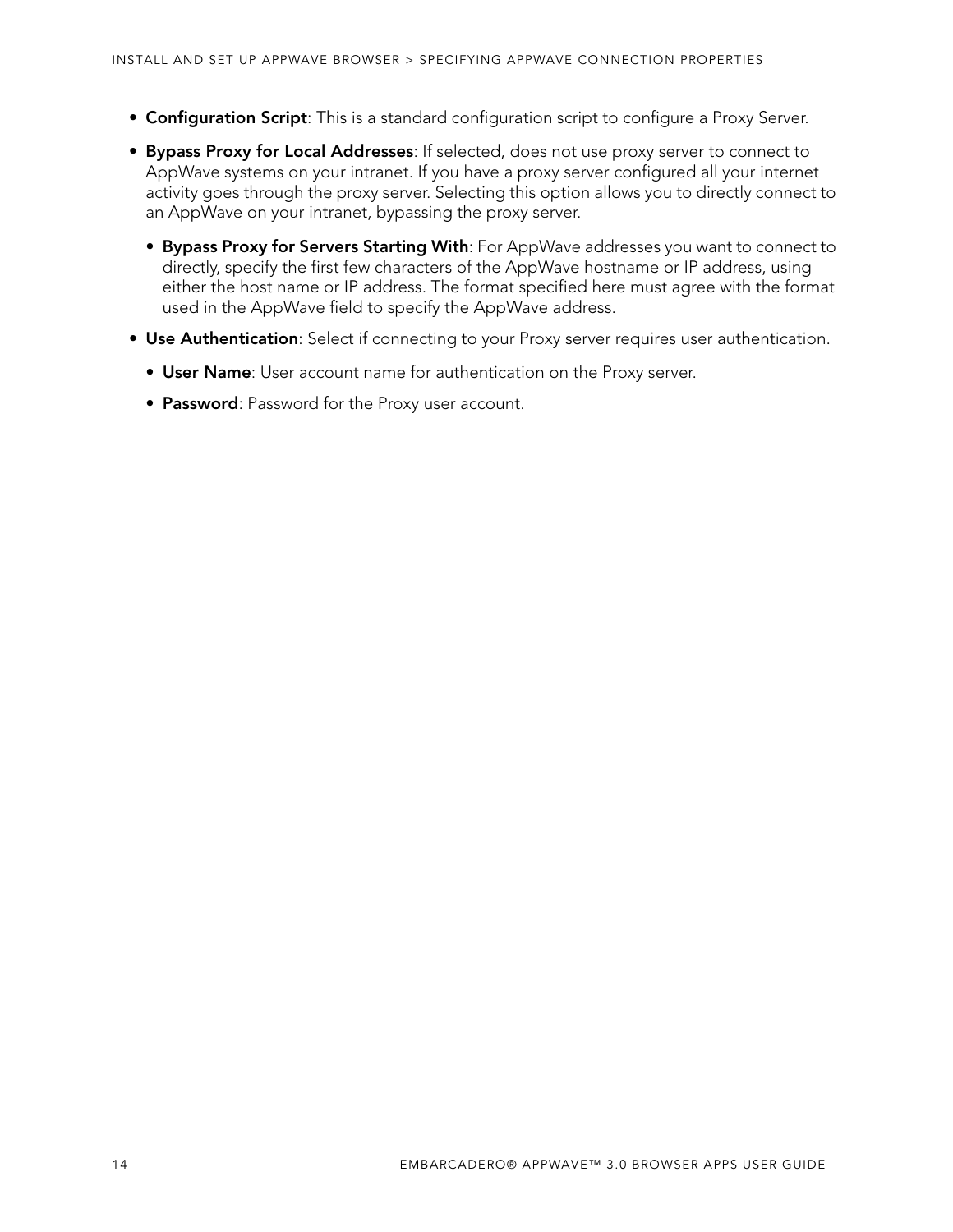- <span id="page-13-3"></span>• **Configuration Script**: This is a standard configuration script to configure a Proxy Server.
- <span id="page-13-2"></span>• **Bypass Proxy for Local Addresses**: If selected, does not use proxy server to connect to AppWave systems on your intranet. If you have a proxy server configured all your internet activity goes through the proxy server. Selecting this option allows you to directly connect to an AppWave on your intranet, bypassing the proxy server.
	- **Bypass Proxy for Servers Starting With**: For AppWave addresses you want to connect to directly, specify the first few characters of the AppWave hostname or IP address, using either the host name or IP address. The format specified here must agree with the format used in the AppWave field to specify the AppWave address.
- <span id="page-13-1"></span><span id="page-13-0"></span>• **Use Authentication**: Select if connecting to your Proxy server requires user authentication.
	- **User Name**: User account name for authentication on the Proxy server.
	- **Password**: Password for the Proxy user account.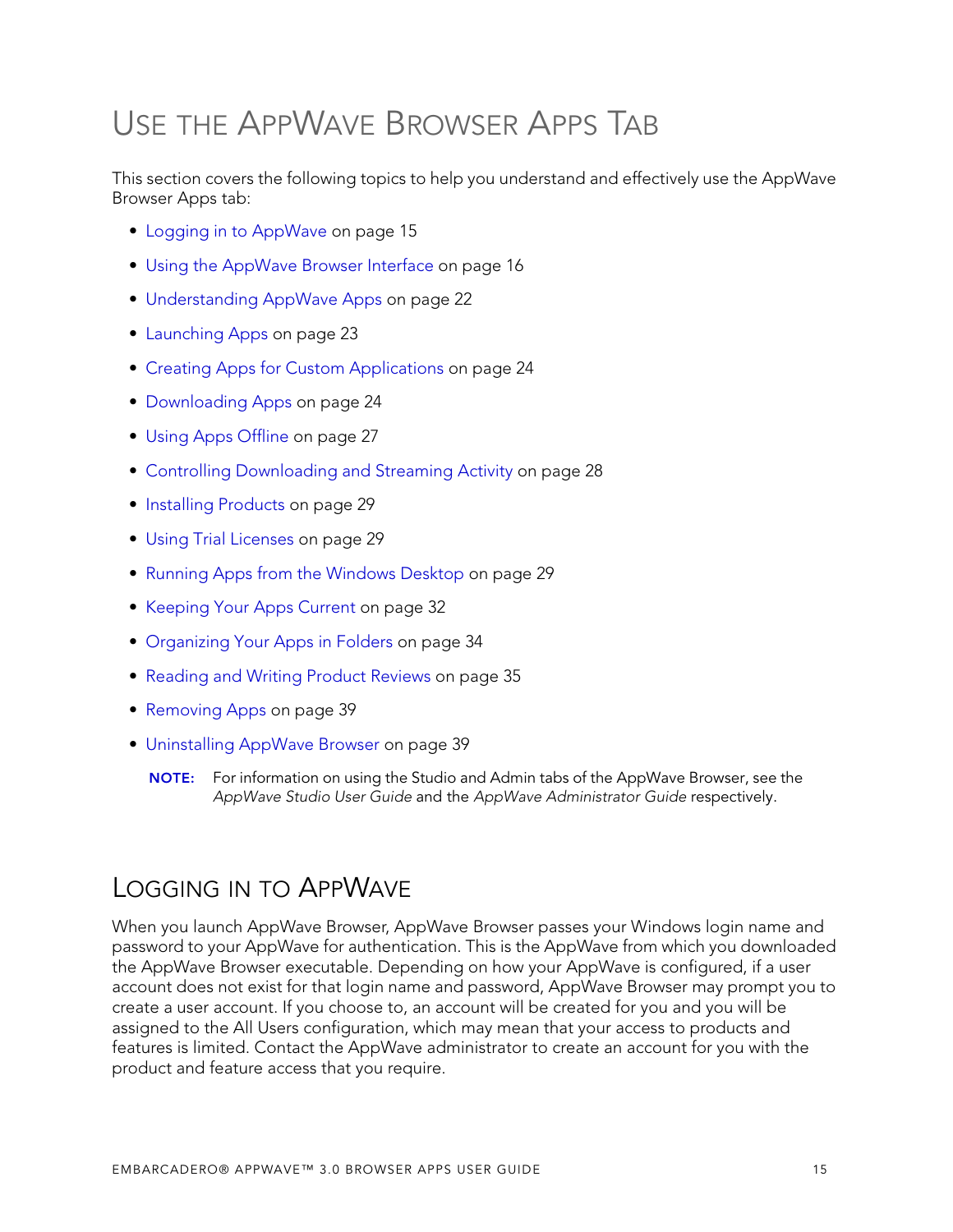## <span id="page-14-0"></span>USE THE APPWAVE BROWSER APPS TAB

This section covers the following topics to help you understand and effectively use the AppWave Browser Apps tab:

- [Logging in to AppWave on page 15](#page-14-1)
- [Using the AppWave Browser Interface on page 16](#page-15-0)
- [Understanding AppWave Apps on page 22](#page-21-0)
- [Launching Apps on page 23](#page-22-0)
- [Creating Apps for Custom Applications on page 24](#page-23-0)
- [Downloading Apps on page 24](#page-23-1)
- [Using Apps Offline on page 27](#page-26-0)
- [Controlling Downloading and Streaming Activity on page 28](#page-27-0)
- [Installing Products on page 29](#page-28-0)
- [Using Trial Licenses on page 29](#page-28-1)
- [Running Apps from the Windows Desktop on page 29](#page-28-2)
- [Keeping Your Apps Current on page 32](#page-31-0)
- [Organizing Your Apps in Folders on page 34](#page-33-0)
- [Reading and Writing Product Reviews on page 35](#page-34-0)
- [Removing Apps on page 39](#page-38-0)
- [Uninstalling AppWave Browser on page 39](#page-38-1)
	- **NOTE:** For information on using the Studio and Admin tabs of the AppWave Browser, see the AppWave Studio User Guide and the AppWave Administrator Guide respectively.

#### <span id="page-14-1"></span>LOGGING IN TO APPWAVE

<span id="page-14-2"></span>When you launch AppWave Browser, AppWave Browser passes your Windows login name and password to your AppWave for authentication. This is the AppWave from which you downloaded the AppWave Browser executable. Depending on how your AppWave is configured, if a user account does not exist for that login name and password, AppWave Browser may prompt you to create a user account. If you choose to, an account will be created for you and you will be assigned to the All Users configuration, which may mean that your access to products and features is limited. Contact the AppWave administrator to create an account for you with the product and feature access that you require.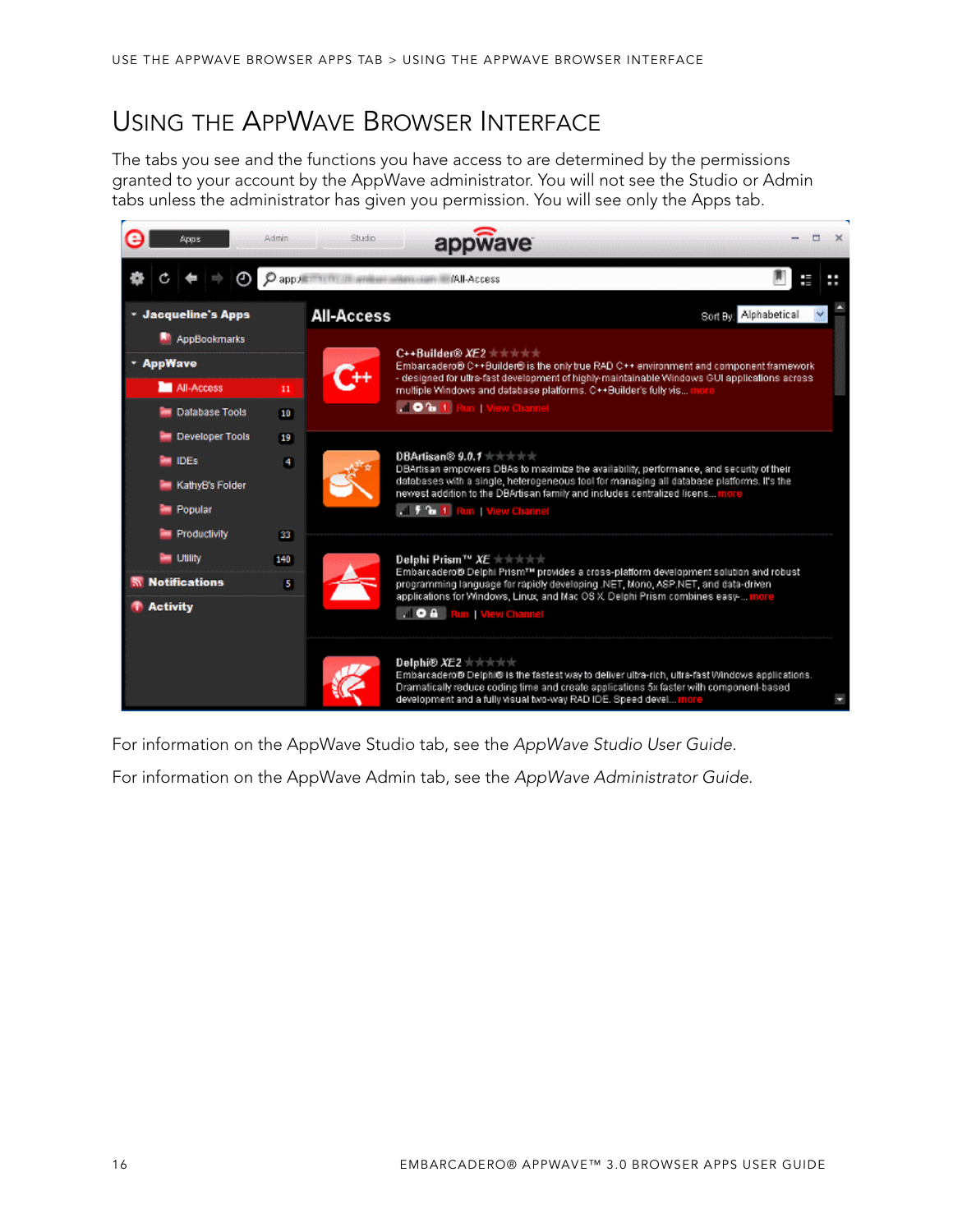### <span id="page-15-0"></span>USING THE APPWAVE BROWSER INTERFACE

<span id="page-15-3"></span><span id="page-15-2"></span><span id="page-15-1"></span>The tabs you see and the functions you have access to are determined by the permissions granted to your account by the AppWave administrator. You will not see the Studio or Admin tabs unless the administrator has given you permission. You will see only the Apps tab.



For information on the AppWave Studio tab, see the AppWave Studio User Guide.

For information on the AppWave Admin tab, see the AppWave Administrator Guide.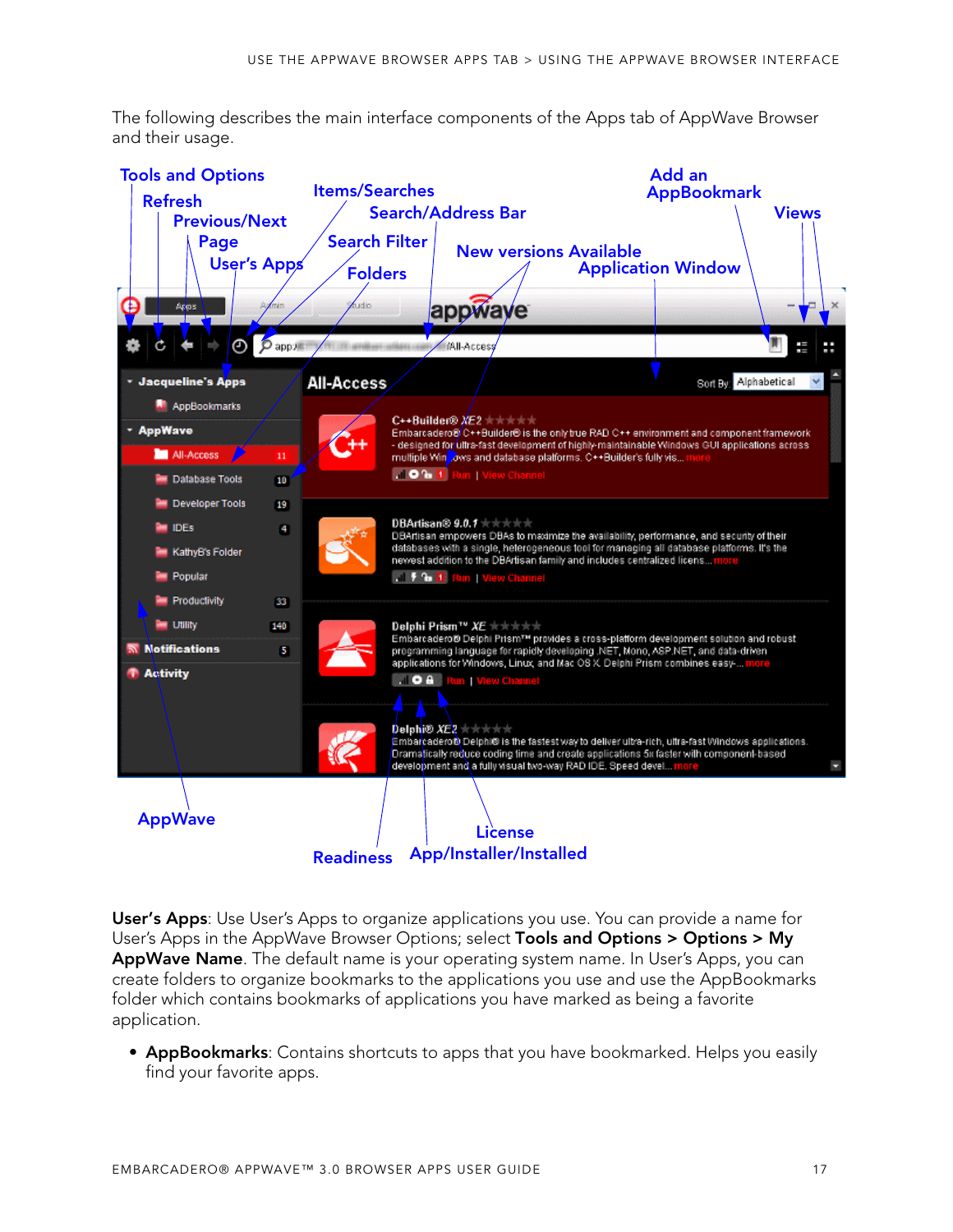The following describes the main interface components of the Apps tab of AppWave Browser and their usage.



<span id="page-16-2"></span><span id="page-16-1"></span>**User's Apps**: Use User's Apps to organize applications you use. You can provide a name for User's Apps in the AppWave Browser Options; select **Tools and Options > Options > My AppWave Name**. The default name is your operating system name. In User's Apps, you can create folders to organize bookmarks to the applications you use and use the AppBookmarks folder which contains bookmarks of applications you have marked as being a favorite application.

<span id="page-16-0"></span>• **AppBookmarks**: Contains shortcuts to apps that you have bookmarked. Helps you easily find your favorite apps.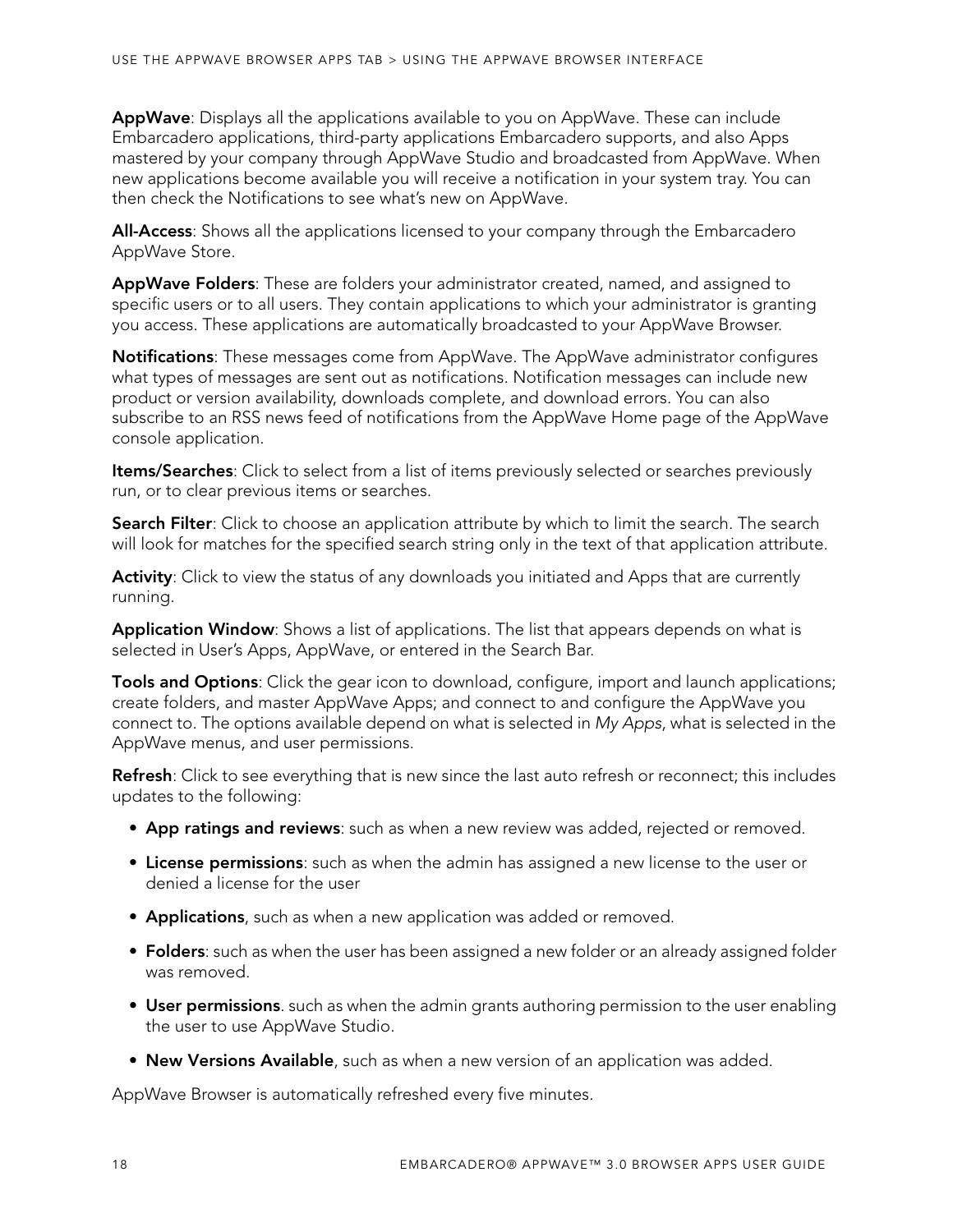<span id="page-17-2"></span>**AppWave**: Displays all the applications available to you on AppWave. These can include Embarcadero applications, third-party applications Embarcadero supports, and also Apps mastered by your company through AppWave Studio and broadcasted from AppWave. When new applications become available you will receive a notification in your system tray. You can then check the Notifications to see what's new on AppWave.

<span id="page-17-1"></span>**All-Access**: Shows all the applications licensed to your company through the Embarcadero AppWave Store.

<span id="page-17-5"></span><span id="page-17-3"></span>**AppWave Folders**: These are folders your administrator created, named, and assigned to specific users or to all users. They contain applications to which your administrator is granting you access. These applications are automatically broadcasted to your AppWave Browser.

<span id="page-17-7"></span><span id="page-17-6"></span>**Notifications**: These messages come from AppWave. The AppWave administrator configures what types of messages are sent out as notifications. Notification messages can include new product or version availability, downloads complete, and download errors. You can also subscribe to an RSS news feed of notifications from the AppWave Home page of the AppWave console application.

**Items/Searches**: Click to select from a list of items previously selected or searches previously run, or to clear previous items or searches.

<span id="page-17-9"></span><span id="page-17-8"></span>**Search Filter**: Click to choose an application attribute by which to limit the search. The search will look for matches for the specified search string only in the text of that application attribute.

<span id="page-17-4"></span><span id="page-17-0"></span>**Activity**: Click to view the status of any downloads you initiated and Apps that are currently running.

**Application Window**: Shows a list of applications. The list that appears depends on what is selected in User's Apps, AppWave, or entered in the Search Bar.

**Tools and Options**: Click the gear icon to download, configure, import and launch applications; create folders, and master AppWave Apps; and connect to and configure the AppWave you connect to. The options available depend on what is selected in My Apps, what is selected in the AppWave menus, and user permissions.

**Refresh**: Click to see everything that is new since the last auto refresh or reconnect; this includes updates to the following:

- **App ratings and reviews**: such as when a new review was added, rejected or removed.
- **License permissions**: such as when the admin has assigned a new license to the user or denied a license for the user
- **Applications**, such as when a new application was added or removed.
- **Folders**: such as when the user has been assigned a new folder or an already assigned folder was removed.
- **User permissions**. such as when the admin grants authoring permission to the user enabling the user to use AppWave Studio.
- **New Versions Available**, such as when a new version of an application was added.

AppWave Browser is automatically refreshed every five minutes.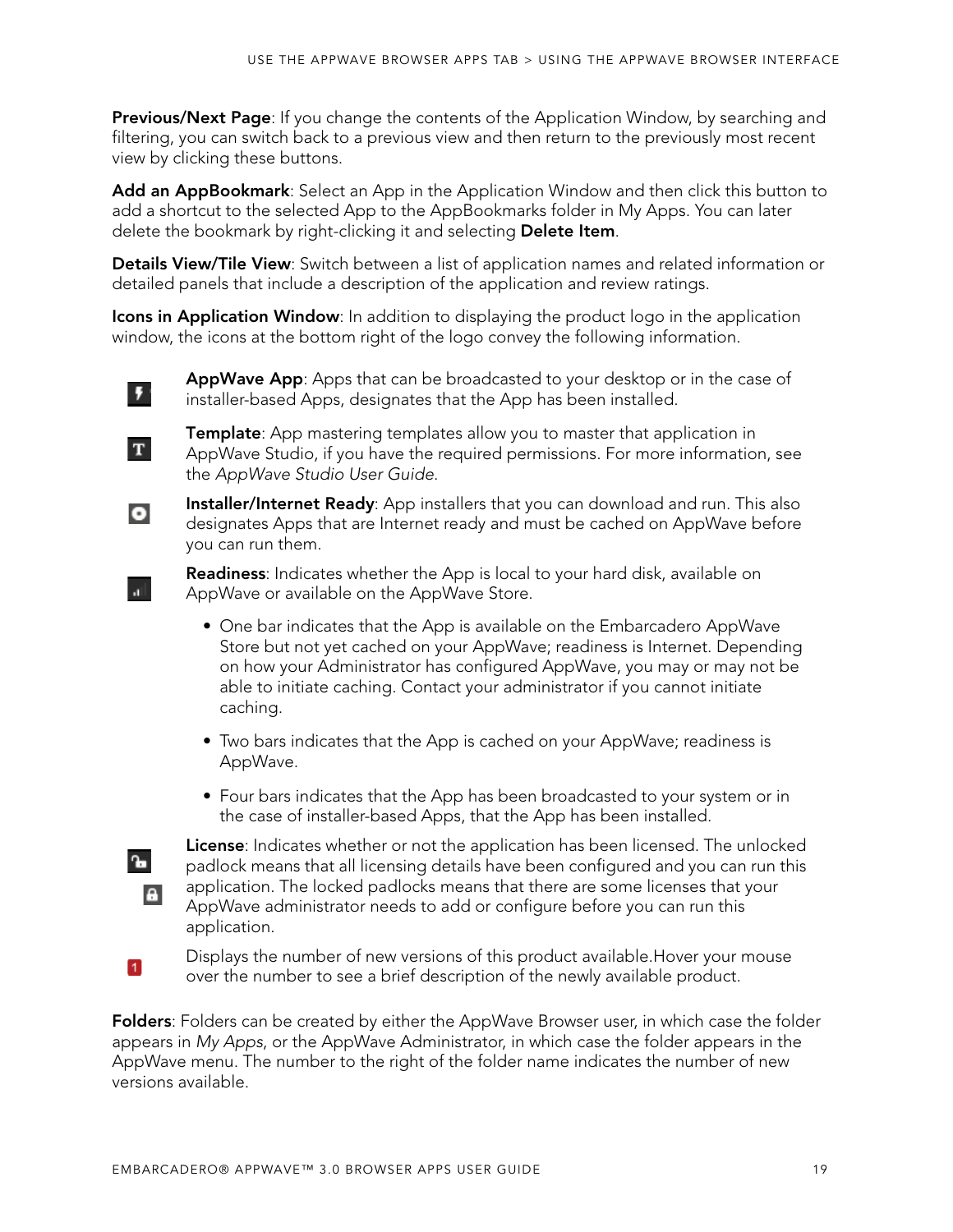<span id="page-18-2"></span>**Previous/Next Page**: If you change the contents of the Application Window, by searching and filtering, you can switch back to a previous view and then return to the previously most recent view by clicking these buttons.

<span id="page-18-0"></span>**Add an AppBookmark**: Select an App in the Application Window and then click this button to add a shortcut to the selected App to the AppBookmarks folder in My Apps. You can later delete the bookmark by right-clicking it and selecting **Delete Item**.

<span id="page-18-6"></span>**Details View/Tile View**: Switch between a list of application names and related information or detailed panels that include a description of the application and review ratings.

<span id="page-18-5"></span>**Icons in Application Window**: In addition to displaying the product logo in the application window, the icons at the bottom right of the logo convey the following information.



<span id="page-18-3"></span><span id="page-18-1"></span>**AppWave App**: Apps that can be broadcasted to your desktop or in the case of installer-based Apps, designates that the App has been installed.



 $\bullet$ 

**Template**: App mastering templates allow you to master that application in AppWave Studio, if you have the required permissions. For more information, see the AppWave Studio User Guide.

**Installer/Internet Ready**: App installers that you can download and run. This also designates Apps that are Internet ready and must be cached on AppWave before you can run them.

**Readiness**: Indicates whether the App is local to your hard disk, available on AppWave or available on the AppWave Store.

- One bar indicates that the App is available on the Embarcadero AppWave Store but not yet cached on your AppWave; readiness is Internet. Depending on how your Administrator has configured AppWave, you may or may not be able to initiate caching. Contact your administrator if you cannot initiate caching.
- Two bars indicates that the App is cached on your AppWave; readiness is AppWave.
- Four bars indicates that the App has been broadcasted to your system or in the case of installer-based Apps, that the App has been installed.



**License**: Indicates whether or not the application has been licensed. The unlocked padlock means that all licensing details have been configured and you can run this application. The locked padlocks means that there are some licenses that your AppWave administrator needs to add or configure before you can run this application.



<span id="page-18-4"></span>Displays the number of new versions of this product available.Hover your mouse over the number to see a brief description of the newly available product.

**Folders**: Folders can be created by either the AppWave Browser user, in which case the folder appears in My Apps, or the AppWave Administrator, in which case the folder appears in the AppWave menu. The number to the right of the folder name indicates the number of new versions available.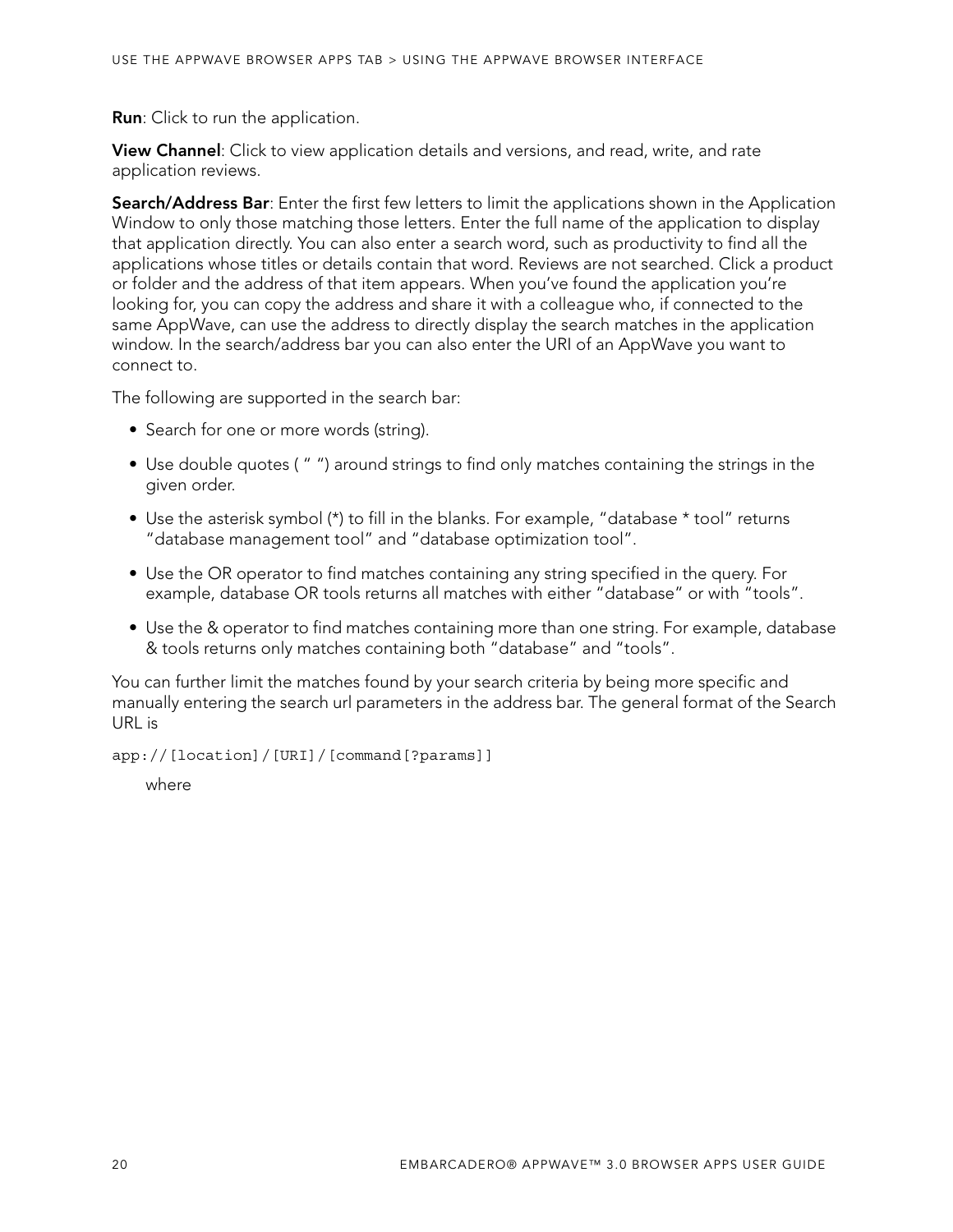<span id="page-19-0"></span>**Run**: Click to run the application.

**View Channel**: Click to view application details and versions, and read, write, and rate application reviews.

<span id="page-19-1"></span>**Search/Address Bar**: Enter the first few letters to limit the applications shown in the Application Window to only those matching those letters. Enter the full name of the application to display that application directly. You can also enter a search word, such as productivity to find all the applications whose titles or details contain that word. Reviews are not searched. Click a product or folder and the address of that item appears. When you've found the application you're looking for, you can copy the address and share it with a colleague who, if connected to the same AppWave, can use the address to directly display the search matches in the application window. In the search/address bar you can also enter the URI of an AppWave you want to connect to.

The following are supported in the search bar:

- <span id="page-19-2"></span>• Search for one or more words (string).
- Use double quotes ( " ") around strings to find only matches containing the strings in the given order.
- Use the asterisk symbol (\*) to fill in the blanks. For example, "database \* tool" returns "database management tool" and "database optimization tool".
- Use the OR operator to find matches containing any string specified in the query. For example, database OR tools returns all matches with either "database" or with "tools".
- Use the & operator to find matches containing more than one string. For example, database & tools returns only matches containing both "database" and "tools".

You can further limit the matches found by your search criteria by being more specific and manually entering the search url parameters in the address bar. The general format of the Search URL is

app://[location]/[URI]/[command[?params]]

where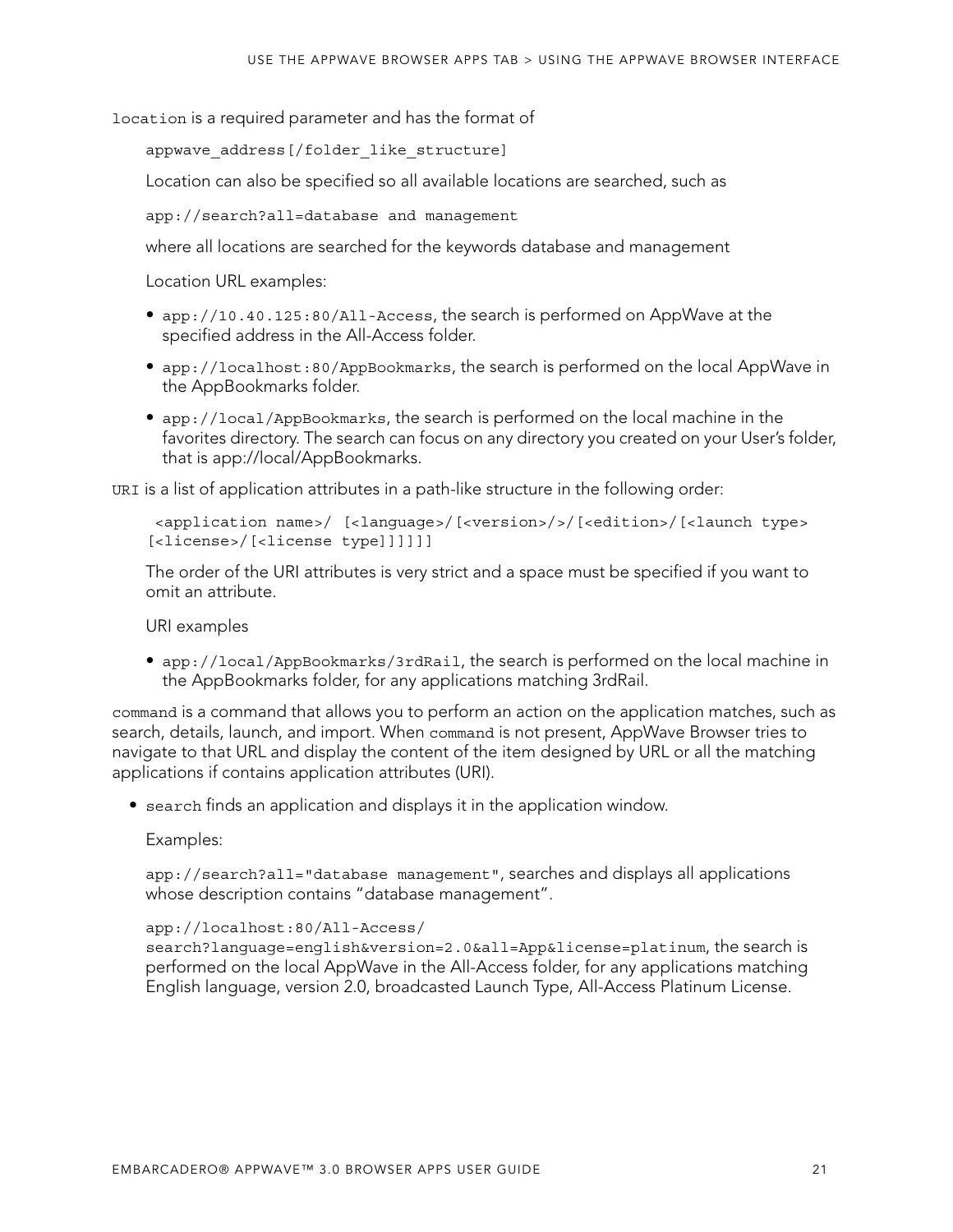location is a required parameter and has the format of

appwave address[/folder like structure]

Location can also be specified so all available locations are searched, such as

app://search?all=database and management

where all locations are searched for the keywords database and management

Location URL examples:

- app://10.40.125:80/All-Access, the search is performed on AppWave at the specified address in the All-Access folder.
- app://localhost:80/AppBookmarks, the search is performed on the local AppWave in the AppBookmarks folder.
- app://local/AppBookmarks, the search is performed on the local machine in the favorites directory. The search can focus on any directory you created on your User's folder, that is app://local/AppBookmarks.

URI is a list of application attributes in a path-like structure in the following order:

```
 <application name>/ [<language>/[<version>/>/[<edition>/[<launch type> 
[<license>/[<license type]]]]]]
```
The order of the URI attributes is very strict and a space must be specified if you want to omit an attribute.

URI examples

• app://local/AppBookmarks/3rdRail, the search is performed on the local machine in the AppBookmarks folder, for any applications matching 3rdRail.

command is a command that allows you to perform an action on the application matches, such as search, details, launch, and import. When command is not present, AppWave Browser tries to navigate to that URL and display the content of the item designed by URL or all the matching applications if contains application attributes (URI).

• search finds an application and displays it in the application window.

Examples:

app://search?all="database management", searches and displays all applications whose description contains "database management".

app://localhost:80/All-Access/

search?language=english&version=2.0&all=App&license=platinum, the search is performed on the local AppWave in the All-Access folder, for any applications matching English language, version 2.0, broadcasted Launch Type, All-Access Platinum License.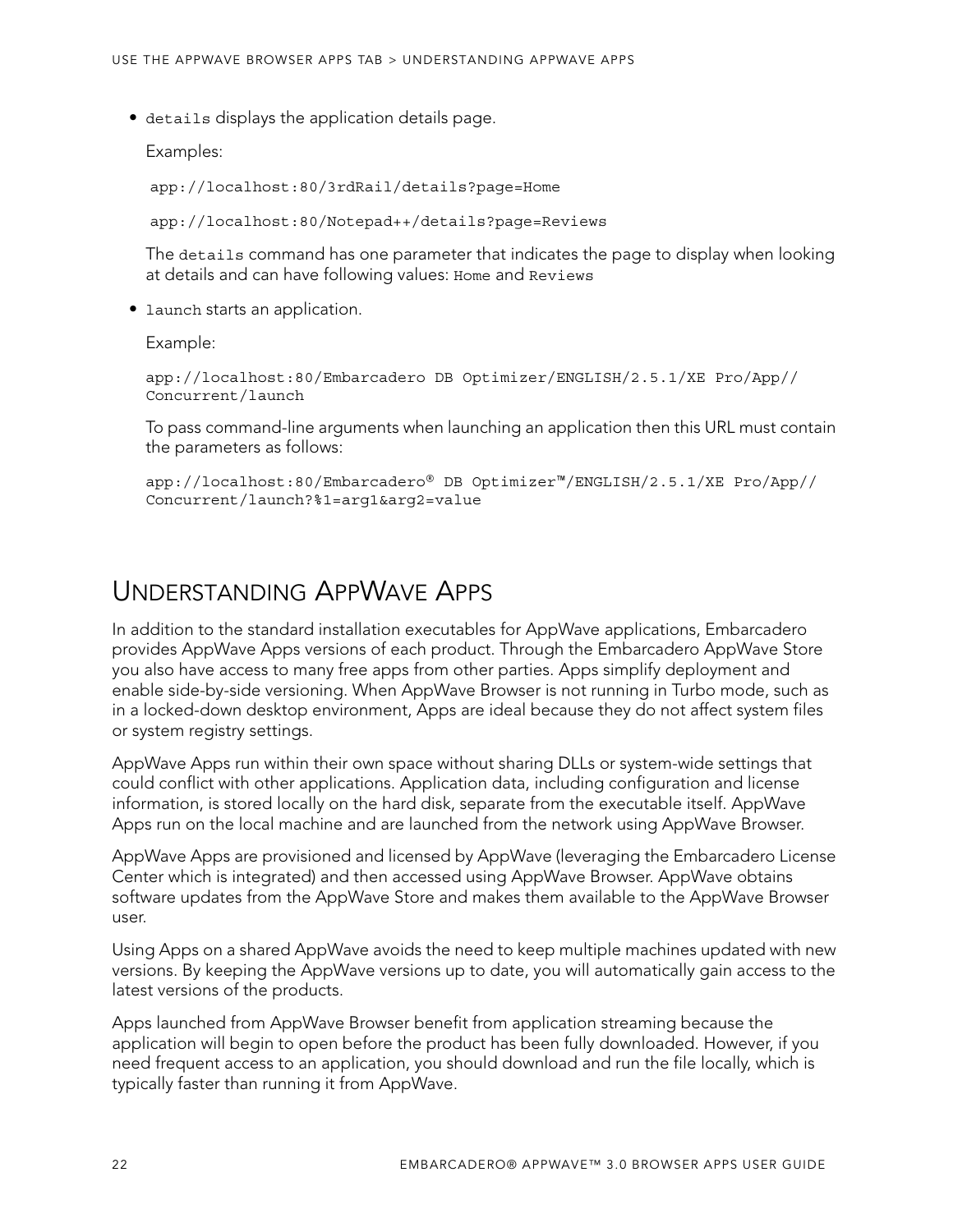• details displays the application details page.

Examples:

app://localhost:80/3rdRail/details?page=Home

app://localhost:80/Notepad++/details?page=Reviews

The details command has one parameter that indicates the page to display when looking at details and can have following values: Home and Reviews

• launch starts an application.

Example:

```
app://localhost:80/Embarcadero DB Optimizer/ENGLISH/2.5.1/XE Pro/App//
Concurrent/launch
```
To pass command-line arguments when launching an application then this URL must contain the parameters as follows:

```
app://localhost:80/Embarcadero® DB Optimizer™/ENGLISH/2.5.1/XE Pro/App//
Concurrent/launch?%1=arg1&arg2=value
```
#### <span id="page-21-0"></span>UNDERSTANDING APPWAVE APPS

In addition to the standard installation executables for AppWave applications, Embarcadero provides AppWave Apps versions of each product. Through the Embarcadero AppWave Store you also have access to many free apps from other parties. Apps simplify deployment and enable side-by-side versioning. When AppWave Browser is not running in Turbo mode, such as in a locked-down desktop environment, Apps are ideal because they do not affect system files or system registry settings.

AppWave Apps run within their own space without sharing DLLs or system-wide settings that could conflict with other applications. Application data, including configuration and license information, is stored locally on the hard disk, separate from the executable itself. AppWave Apps run on the local machine and are launched from the network using AppWave Browser.

AppWave Apps are provisioned and licensed by AppWave (leveraging the Embarcadero License Center which is integrated) and then accessed using AppWave Browser. AppWave obtains software updates from the AppWave Store and makes them available to the AppWave Browser user.

Using Apps on a shared AppWave avoids the need to keep multiple machines updated with new versions. By keeping the AppWave versions up to date, you will automatically gain access to the latest versions of the products.

<span id="page-21-1"></span>Apps launched from AppWave Browser benefit from application streaming because the application will begin to open before the product has been fully downloaded. However, if you need frequent access to an application, you should download and run the file locally, which is typically faster than running it from AppWave.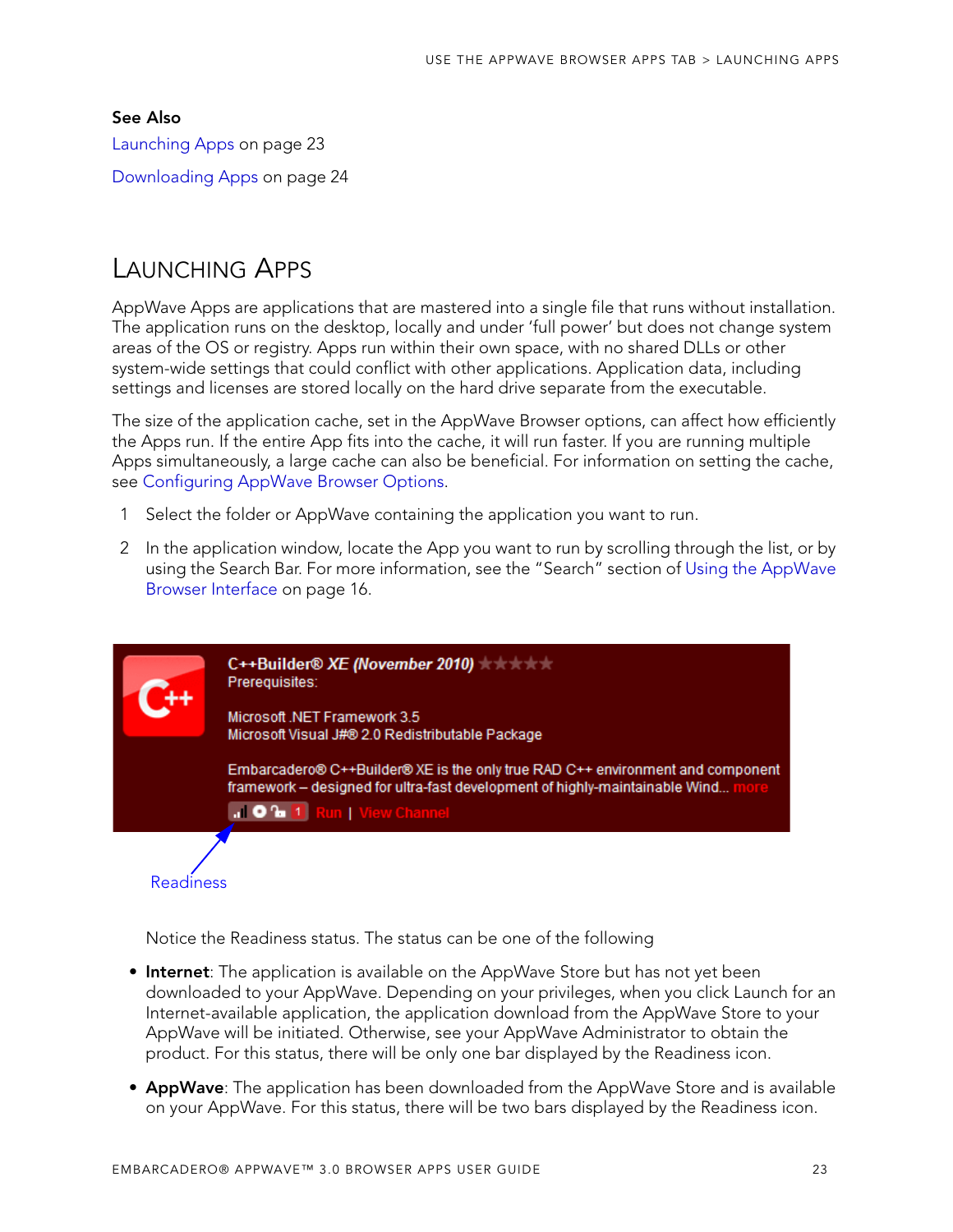#### **See Also**

[Launching Apps on page 23](#page-22-0) [Downloading Apps on page 24](#page-23-1)

#### <span id="page-22-0"></span>LAUNCHING APPS

AppWave Apps are applications that are mastered into a single file that runs without installation. The application runs on the desktop, locally and under 'full power' but does not change system areas of the OS or registry. Apps run within their own space, with no shared DLLs or other system-wide settings that could conflict with other applications. Application data, including settings and licenses are stored locally on the hard drive separate from the executable.

The size of the application cache, set in the AppWave Browser options, can affect how efficiently the Apps run. If the entire App fits into the cache, it will run faster. If you are running multiple Apps simultaneously, a large cache can also be beneficial. For information on setting the cache, see [Configuring AppWave Browser Options](#page-8-1).

- 1 Select the folder or AppWave containing the application you want to run.
- 2 In the application window, locate the App you want to run by scrolling through the list, or by using the Search Bar. For more information, see the "Search" section of [Using the AppWave](#page-15-0)  [Browser Interface on page 16](#page-15-0).



Readiness

<span id="page-22-3"></span><span id="page-22-2"></span>Notice the Readiness status. The status can be one of the following

- **Internet**: The application is available on the AppWave Store but has not yet been downloaded to your AppWave. Depending on your privileges, when you click Launch for an Internet-available application, the application download from the AppWave Store to your AppWave will be initiated. Otherwise, see your AppWave Administrator to obtain the product. For this status, there will be only one bar displayed by the Readiness icon.
- <span id="page-22-1"></span>• **AppWave**: The application has been downloaded from the AppWave Store and is available on your AppWave. For this status, there will be two bars displayed by the Readiness icon.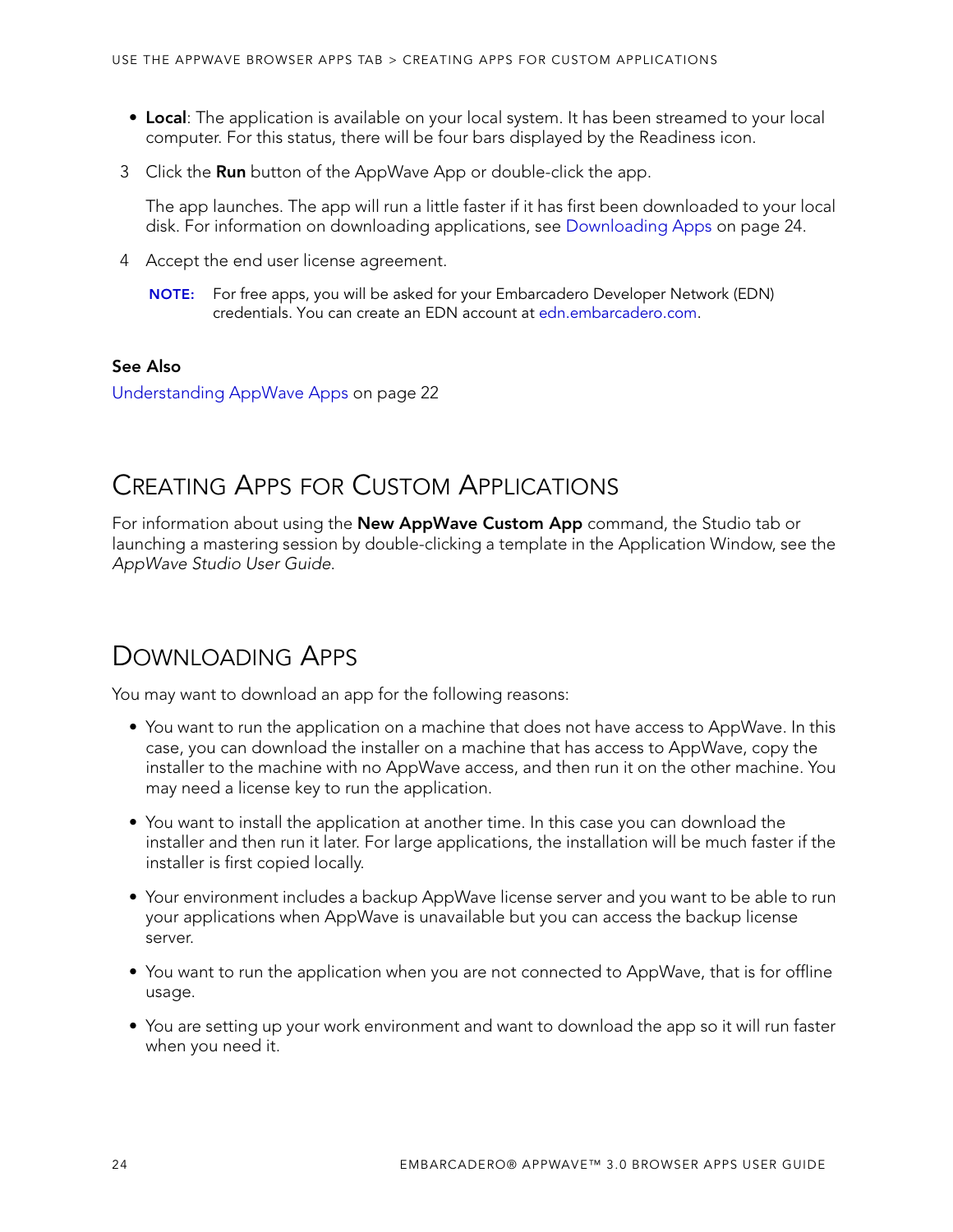- <span id="page-23-6"></span>• **Local**: The application is available on your local system. It has been streamed to your local computer. For this status, there will be four bars displayed by the Readiness icon.
- 3 Click the **Run** button of the AppWave App or double-click the app.

The app launches. The app will run a little faster if it has first been downloaded to your local disk. For information on downloading applications, see [Downloading Apps on page 24.](#page-23-1)

- 4 Accept the end user license agreement.
	- **NOTE:** For free apps, you will be asked for your Embarcadero Developer Network (EDN) credentials. You can create an EDN account at<edn.embarcadero.com>.

#### **See Also**

[Understanding AppWave Apps on page 22](#page-21-0)

#### <span id="page-23-0"></span>CREATING APPS FOR CUSTOM APPLICATIONS

For information about using the **New AppWave Custom App** command, the Studio tab or launching a mastering session by double-clicking a template in the Application Window, see the AppWave Studio User Guide.

#### <span id="page-23-2"></span><span id="page-23-1"></span>DOWNLOADING APPS

You may want to download an app for the following reasons:

- <span id="page-23-3"></span>• You want to run the application on a machine that does not have access to AppWave. In this case, you can download the installer on a machine that has access to AppWave, copy the installer to the machine with no AppWave access, and then run it on the other machine. You may need a license key to run the application.
- You want to install the application at another time. In this case you can download the installer and then run it later. For large applications, the installation will be much faster if the installer is first copied locally.
- <span id="page-23-5"></span><span id="page-23-4"></span>• Your environment includes a backup AppWave license server and you want to be able to run your applications when AppWave is unavailable but you can access the backup license server.
- You want to run the application when you are not connected to AppWave, that is for offline usage.
- You are setting up your work environment and want to download the app so it will run faster when you need it.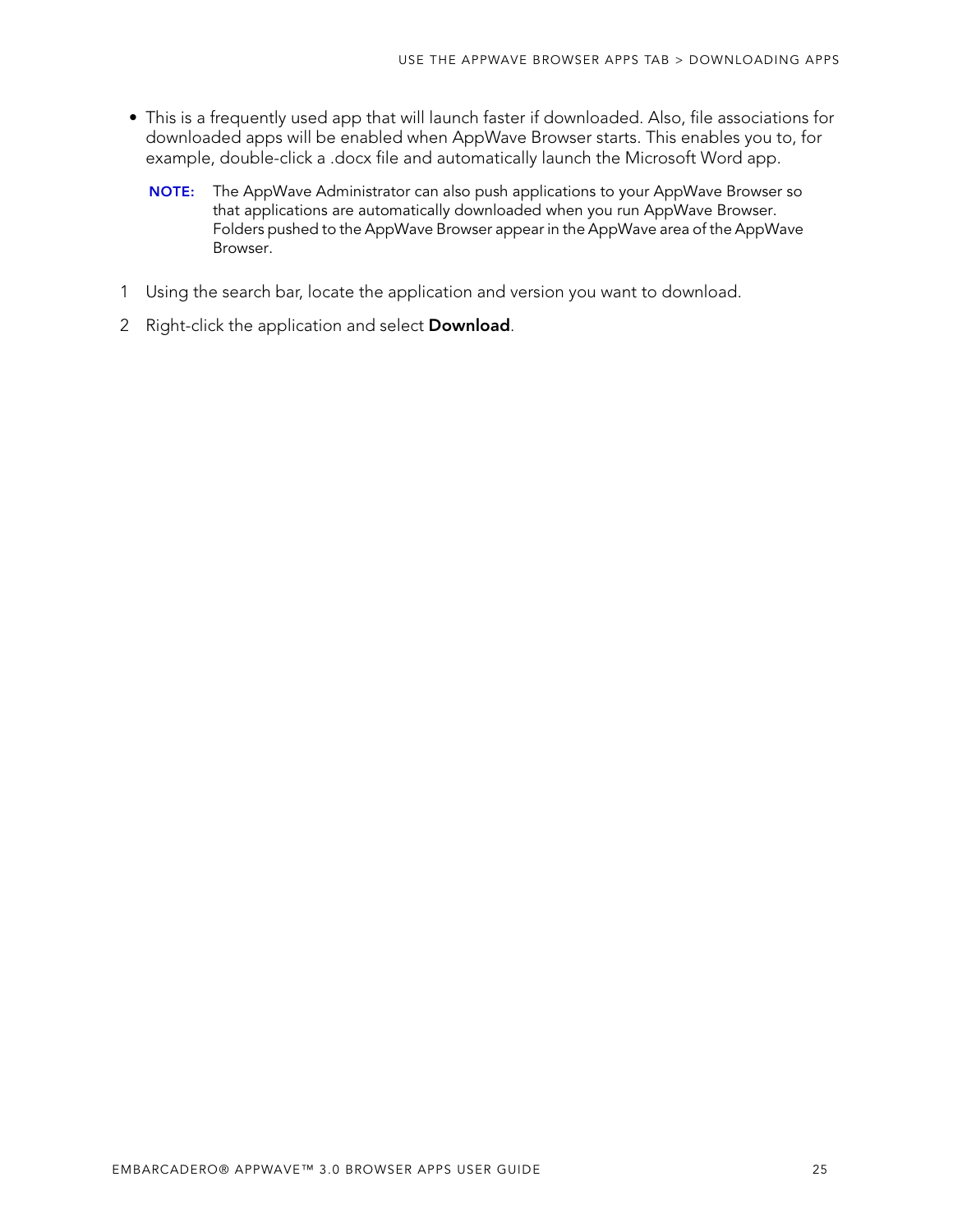- This is a frequently used app that will launch faster if downloaded. Also, file associations for downloaded apps will be enabled when AppWave Browser starts. This enables you to, for example, double-click a .docx file and automatically launch the Microsoft Word app.
	- **NOTE:** The AppWave Administrator can also push applications to your AppWave Browser so that applications are automatically downloaded when you run AppWave Browser. Folders pushed to the AppWave Browser appear in the AppWave area of the AppWave Browser.
- 1 Using the search bar, locate the application and version you want to download.
- 2 Right-click the application and select **Download**.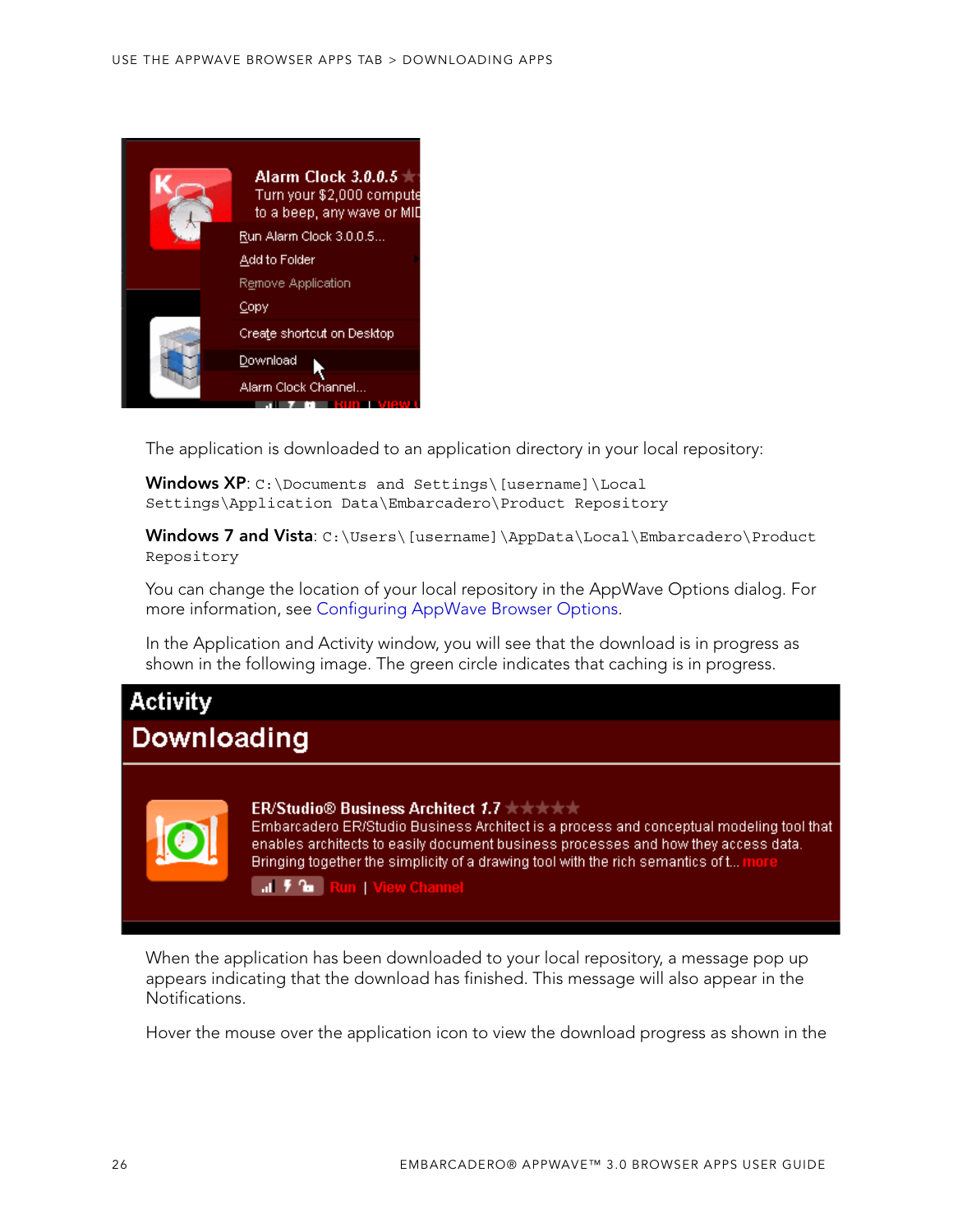

<span id="page-25-1"></span>The application is downloaded to an application directory in your local repository:

Windows XP: C:\Documents and Settings\[username]\Local Settings\Application Data\Embarcadero\Product Repository

**Windows 7 and Vista**: C:\Users\[username]\AppData\Local\Embarcadero\Product Repository

You can change the location of your local repository in the AppWave Options dialog. For more information, see [Configuring AppWave Browser Options](#page-8-2).

In the Application and Activity window, you will see that the download is in progress as shown in the following image. The green circle indicates that caching is in progress.

### **Activity Downloading**



<span id="page-25-0"></span>ER/Studio® Business Architect 1.7 ★★★★★ Embarcadero ER/Studio Business Architect is a process and conceptual modeling tool that enables architects to easily document business processes and how they access data. Bringing together the simplicity of a drawing tool with the rich semantics of t... more

al *∮* **ใa** Run | View Channel

When the application has been downloaded to your local repository, a message pop up appears indicating that the download has finished. This message will also appear in the Notifications.

Hover the mouse over the application icon to view the download progress as shown in the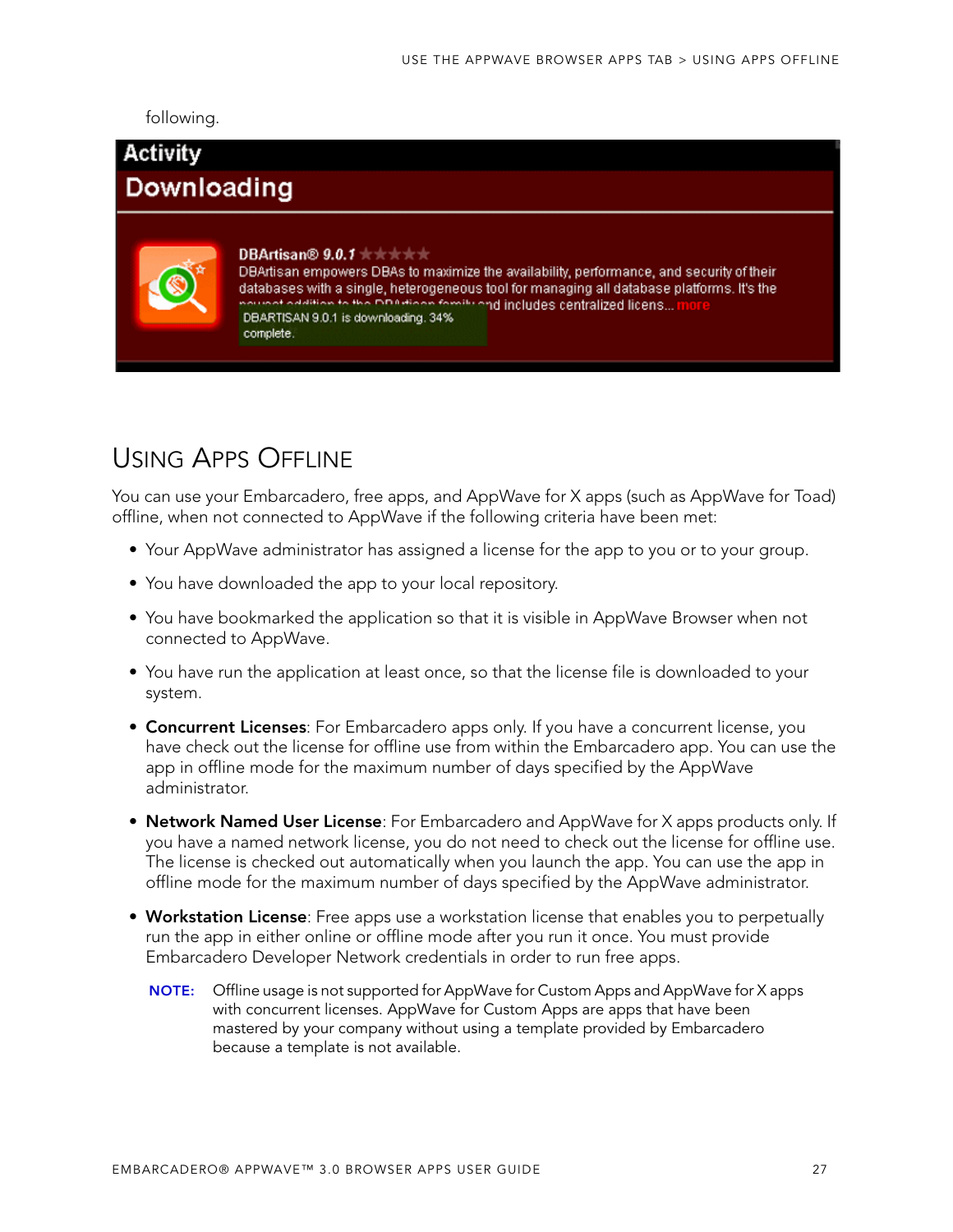#### following.

### Activity Downloading



#### DBArtisan® 9.0.1 \*\*\*\*\*

DBArtisan empowers DBAs to maximize the availability, performance, and security of their databases with a single, heterogeneous tool for managing all database platforms. It's the noureet eddition to the DDArticen formits and includes centralized licens... m DBARTISAN 9.0.1 is downloading. 34% complete.

### <span id="page-26-0"></span>USING APPS OFFLINE

You can use your Embarcadero, free apps, and AppWave for X apps (such as AppWave for Toad) offline, when not connected to AppWave if the following criteria have been met:

- Your AppWave administrator has assigned a license for the app to you or to your group.
- You have downloaded the app to your local repository.
- You have bookmarked the application so that it is visible in AppWave Browser when not connected to AppWave.
- You have run the application at least once, so that the license file is downloaded to your system.
- **Concurrent Licenses**: For Embarcadero apps only. If you have a concurrent license, you have check out the license for offline use from within the Embarcadero app. You can use the app in offline mode for the maximum number of days specified by the AppWave administrator.
- **Network Named User License**: For Embarcadero and AppWave for X apps products only. If you have a named network license, you do not need to check out the license for offline use. The license is checked out automatically when you launch the app. You can use the app in offline mode for the maximum number of days specified by the AppWave administrator.
- **Workstation License**: Free apps use a workstation license that enables you to perpetually run the app in either online or offline mode after you run it once. You must provide Embarcadero Developer Network credentials in order to run free apps.
	- **NOTE:** Offline usage is not supported for AppWave for Custom Apps and AppWave for X apps with concurrent licenses. AppWave for Custom Apps are apps that have been mastered by your company without using a template provided by Embarcadero because a template is not available.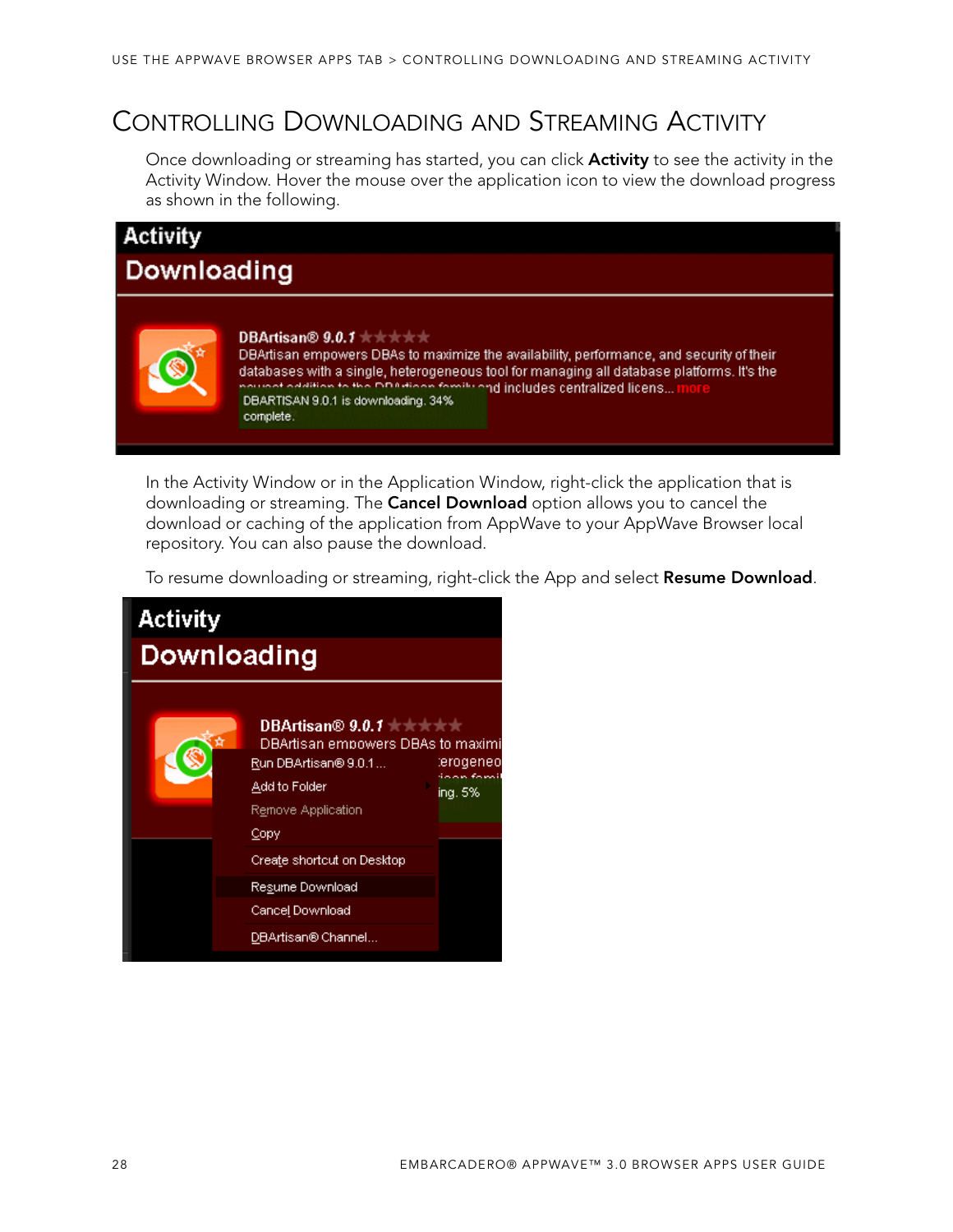### <span id="page-27-0"></span>CONTROLLING DOWNLOADING AND STREAMING ACTIVITY

<span id="page-27-4"></span><span id="page-27-2"></span><span id="page-27-1"></span>Once downloading or streaming has started, you can click **Activity** to see the activity in the Activity Window. Hover the mouse over the application icon to view the download progress as shown in the following.

### **Activity** Downloading DBArtisan® 9.0.1 未未未未 DBArtisan empowers DBAs to maximize the availability, performance, and security of their databases with a single, heterogeneous tool for managing all database platforms. It's the nounce addition to the DDArticon family and includes centralized licens... more DBARTISAN 9.0.1 is downloading. 34% complete.

<span id="page-27-3"></span>In the Activity Window or in the Application Window, right-click the application that is downloading or streaming. The **Cancel Download** option allows you to cancel the download or caching of the application from AppWave to your AppWave Browser local repository. You can also pause the download.

To resume downloading or streaming, right-click the App and select **Resume Download**.

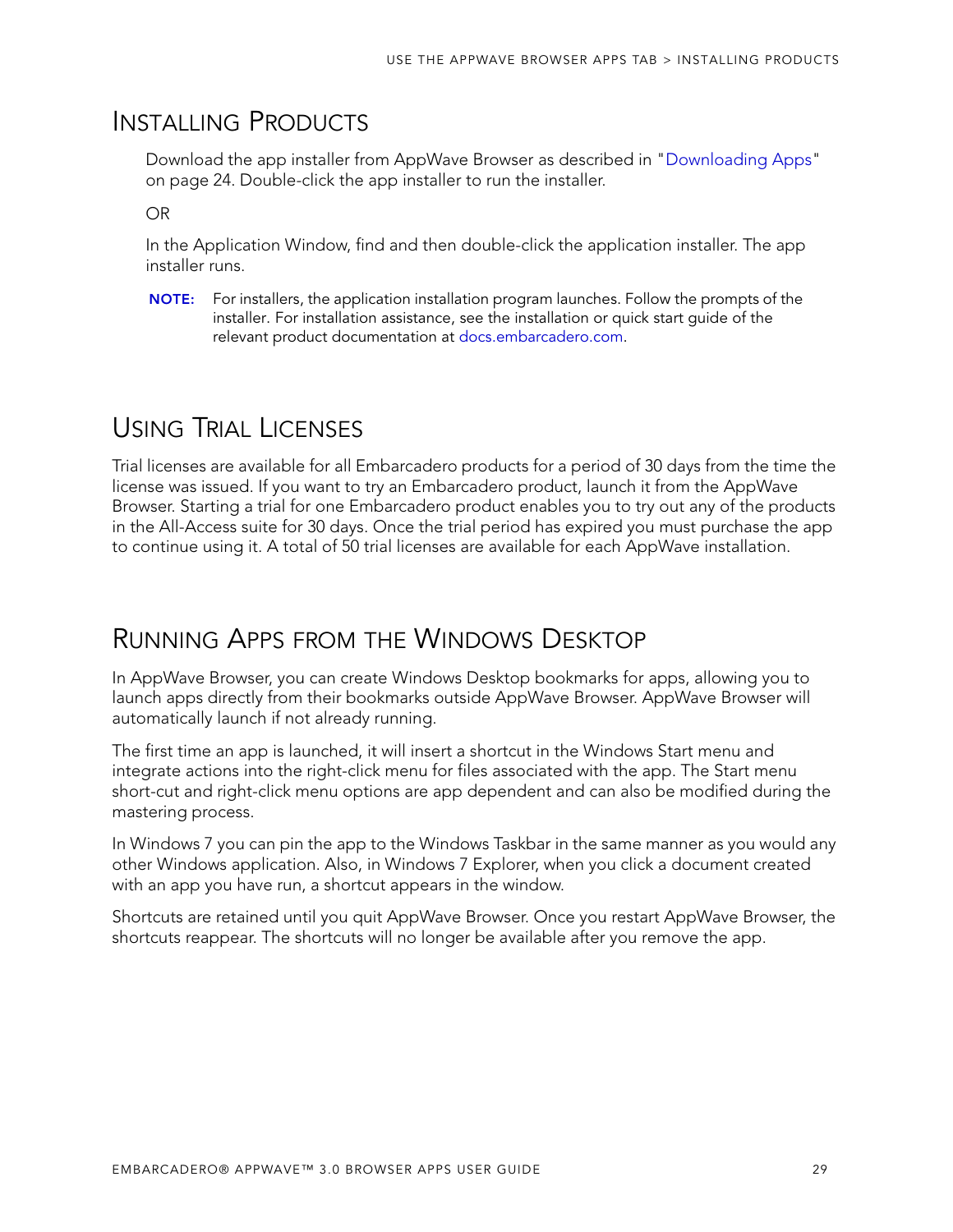#### <span id="page-28-0"></span>INSTALLING PRODUCTS

Download the app installer from AppWave Browser as described in ["Downloading Apps"](#page-23-1)  [on page 24](#page-23-1). Double-click the app installer to run the installer.

OR

In the Application Window, find and then double-click the application installer. The app installer runs.

**NOTE:** For installers, the application installation program launches. Follow the prompts of the installer. For installation assistance, see the installation or quick start guide of the relevant product documentation at [docs.embarcadero.com.](http://docs.embarcadero.com)

### <span id="page-28-1"></span>USING TRIAL LICENSES

Trial licenses are available for all Embarcadero products for a period of 30 days from the time the license was issued. If you want to try an Embarcadero product, launch it from the AppWave Browser. Starting a trial for one Embarcadero product enables you to try out any of the products in the All-Access suite for 30 days. Once the trial period has expired you must purchase the app to continue using it. A total of 50 trial licenses are available for each AppWave installation.

### <span id="page-28-2"></span>RUNNING APPS FROM THE WINDOWS DESKTOP

In AppWave Browser, you can create Windows Desktop bookmarks for apps, allowing you to launch apps directly from their bookmarks outside AppWave Browser. AppWave Browser will automatically launch if not already running.

The first time an app is launched, it will insert a shortcut in the Windows Start menu and integrate actions into the right-click menu for files associated with the app. The Start menu short-cut and right-click menu options are app dependent and can also be modified during the mastering process.

In Windows 7 you can pin the app to the Windows Taskbar in the same manner as you would any other Windows application. Also, in Windows 7 Explorer, when you click a document created with an app you have run, a shortcut appears in the window.

Shortcuts are retained until you quit AppWave Browser. Once you restart AppWave Browser, the shortcuts reappear. The shortcuts will no longer be available after you remove the app.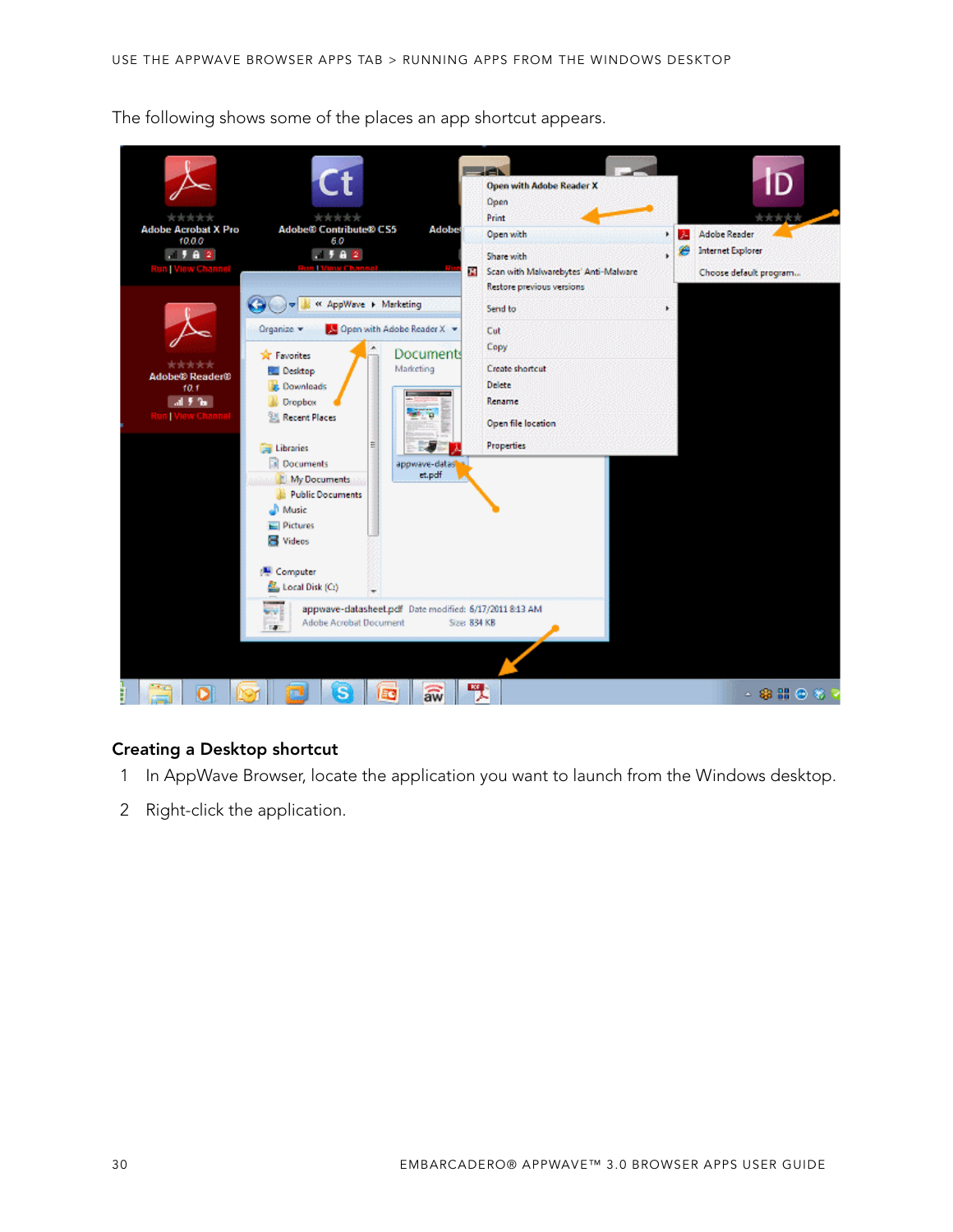**Links** Open with Adobe Reader X Open Print Adobe **Adobe Acroba** at X Pro de@CS5 Adol ® Co Adobe Reader Open with ¥, 60 10.0.0 **B** Internet Explorer  $.9a$  $.788$ Share with × Scan with Malwarebytes' Anti-Malware Choose default program... Restore previous versions → → L « AppWave + Marketing Send to Organize \* Open with Adobe Reader X Cut Copy **Documents X** Favorites Create shortcut Marketing Desktop Adobe® Reader® Downloads Delete  $10.1$  $-1.5$ **Dropbox** Rename <sup>83</sup> Recent Places Open file location Properties **El Libraries** - 3 Oocuments appwave-datas et.pdf My Documents Public Documents Music  $\equiv$  Pictures S Videos Computer Local Disk (C) appwave-datasheet.pdf Date modified: 6/17/2011 8:13 AM Adobe Acrobat Document Size: 834 KB 14 嘿 ΙEΘ  $-88000$  $\overline{aw}$ 

The following shows some of the places an app shortcut appears.

#### **Creating a Desktop shortcut**

- 1 In AppWave Browser, locate the application you want to launch from the Windows desktop.
- 2 Right-click the application.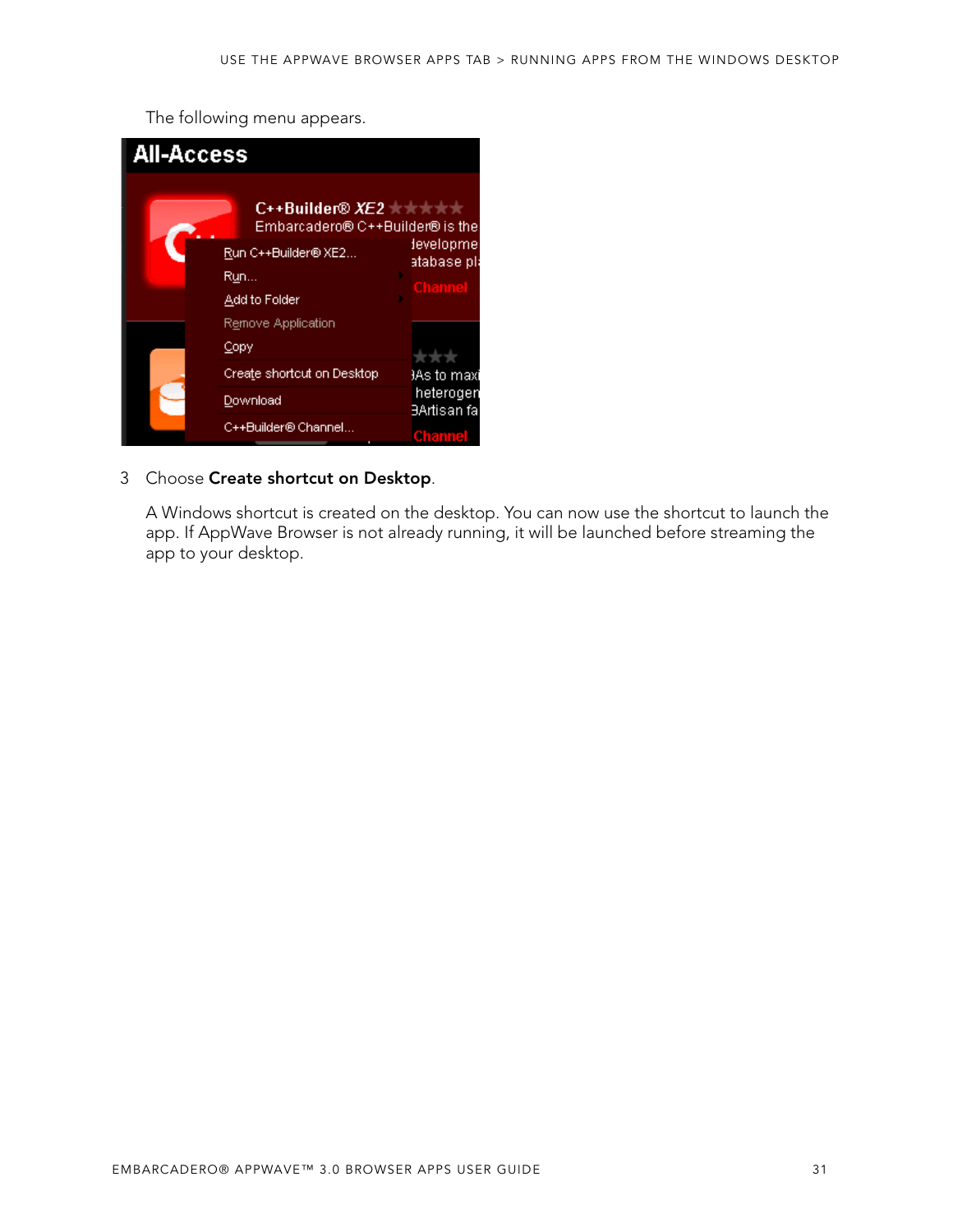The following menu appears.



3 Choose **Create shortcut on Desktop**.

A Windows shortcut is created on the desktop. You can now use the shortcut to launch the app. If AppWave Browser is not already running, it will be launched before streaming the app to your desktop.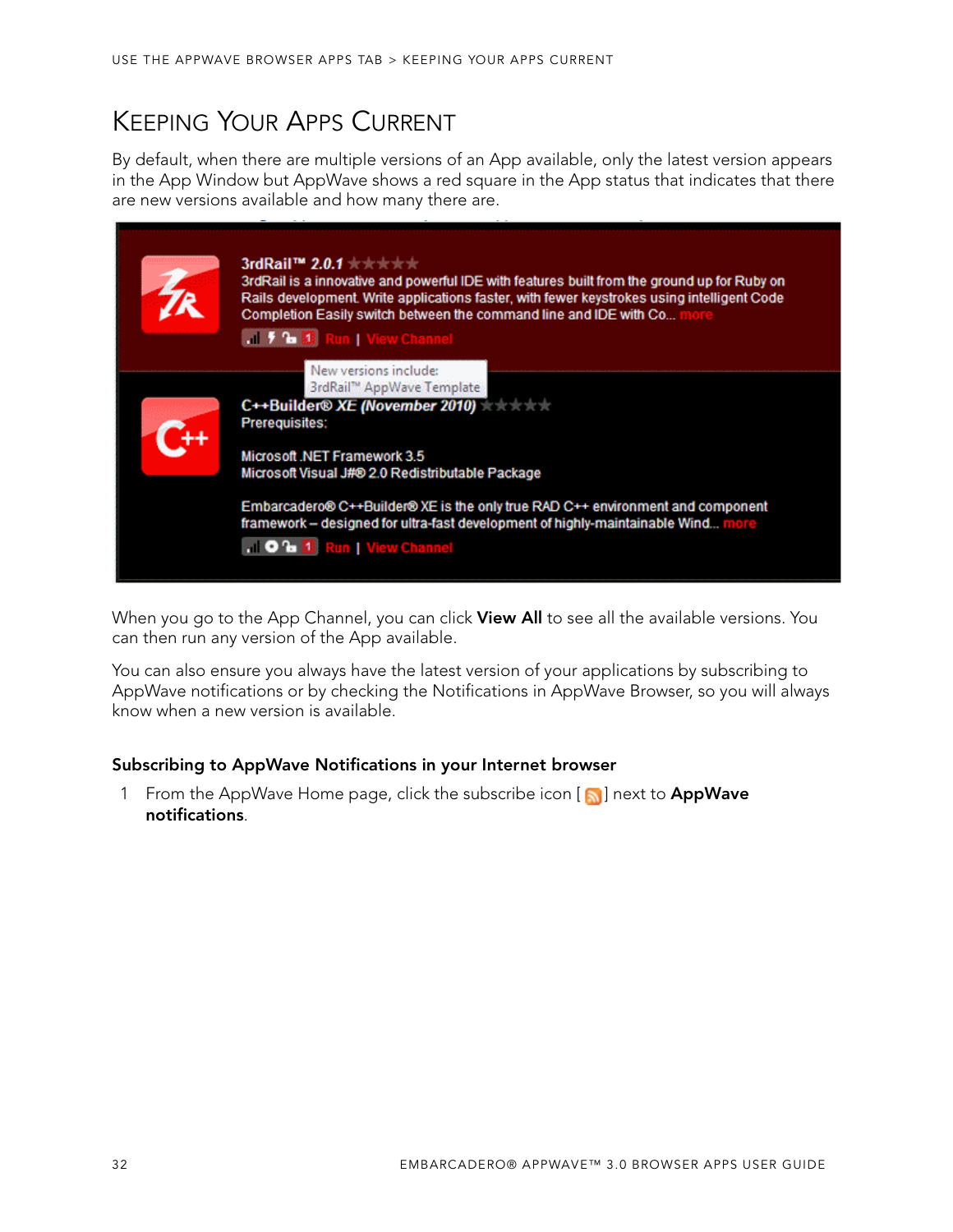### <span id="page-31-0"></span>KEEPING YOUR APPS CURRENT

By default, when there are multiple versions of an App available, only the latest version appears in the App Window but AppWave shows a red square in the App status that indicates that there are new versions available and how many there are.

| 3rdRail™ 2.0.1 $\pm \pm \pm \pm \pm$<br>3rdRail is a innovative and powerful IDE with features built from the ground up for Ruby on<br>Rails development. Write applications faster, with fewer keystrokes using intelligent Code<br>Completion Easily switch between the command line and IDE with Co more<br>al 5 % 3 Run   View Channel                                                    |
|-----------------------------------------------------------------------------------------------------------------------------------------------------------------------------------------------------------------------------------------------------------------------------------------------------------------------------------------------------------------------------------------------|
| New versions include:<br>3rdRail™ AppWave Template<br>C++Builder® XE (November 2010)<br>Prerequisites:<br>Microsoft .NET Framework 3.5<br>Microsoft Visual J#® 2.0 Redistributable Package<br>Embarcadero® C++Builder® XE is the only true RAD C++ environment and component<br>framework - designed for ultra-fast development of highly-maintainable Wind more<br>In   View Channel<br>1011 |

When you go to the App Channel, you can click **View All** to see all the available versions. You can then run any version of the App available.

<span id="page-31-3"></span><span id="page-31-2"></span><span id="page-31-1"></span>You can also ensure you always have the latest version of your applications by subscribing to AppWave notifications or by checking the Notifications in AppWave Browser, so you will always know when a new version is available.

#### **Subscribing to AppWave Notifications in your Internet browser**

<span id="page-31-4"></span>1 From the AppWave Home page, click the subscribe icon [N] next to **AppWave notifications**.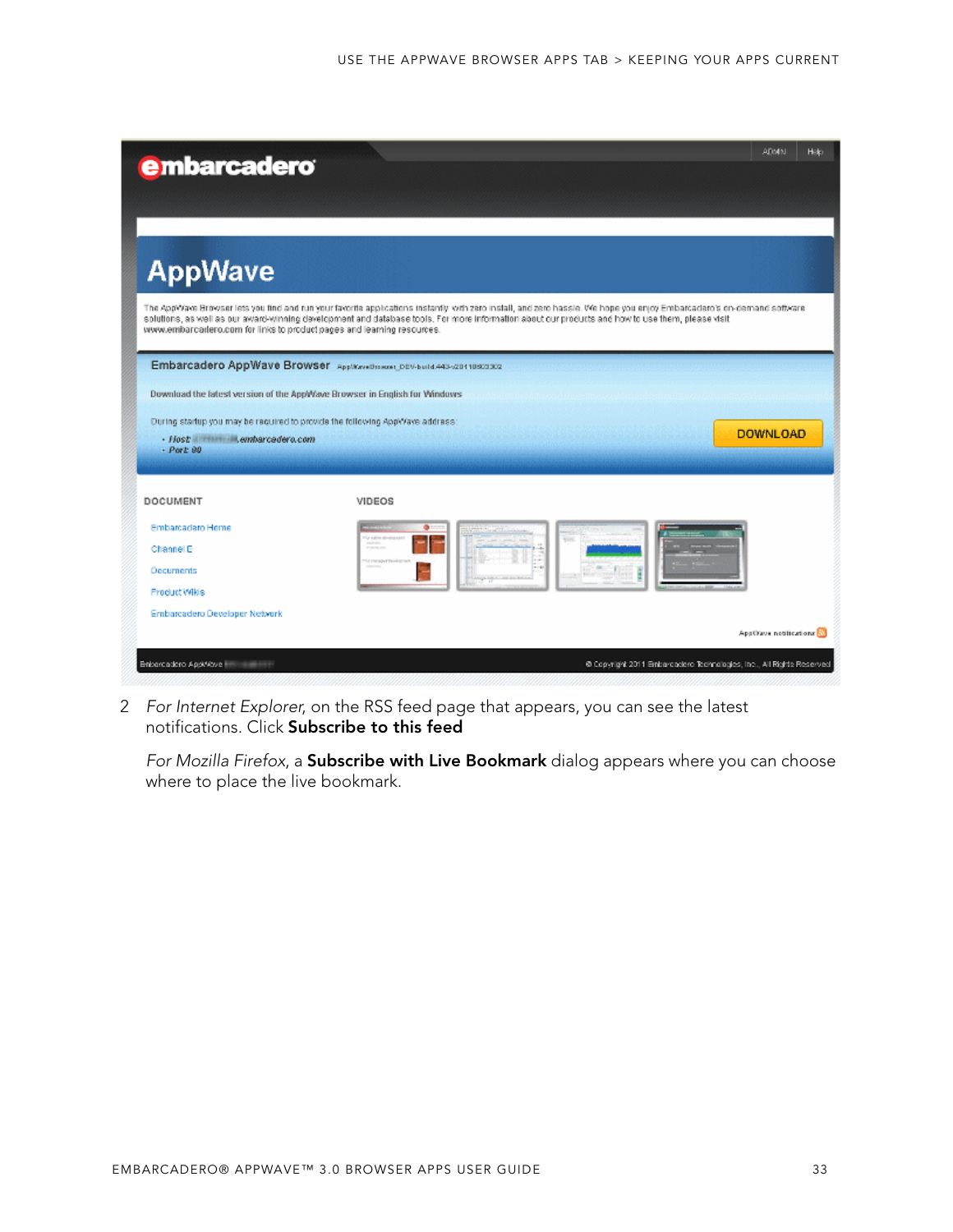| <b>embarcadero</b>                                                                                                                                                                                                   |                                                                                                                                                                                                                                                                                                                             | <b>ADMN</b>                                                            | Hide |
|----------------------------------------------------------------------------------------------------------------------------------------------------------------------------------------------------------------------|-----------------------------------------------------------------------------------------------------------------------------------------------------------------------------------------------------------------------------------------------------------------------------------------------------------------------------|------------------------------------------------------------------------|------|
| <b>AppWave</b>                                                                                                                                                                                                       |                                                                                                                                                                                                                                                                                                                             |                                                                        |      |
| www.embarcadero.com for links to product pages and learning resources.                                                                                                                                               | The AppV/ave Browser lets you find and run your favorite applications instantly with zero install, and zero hassle. We hope you enjoy Embarcadero's on-demand software<br>solutions, as well as our award-winning development and database tools. For more information about our products and how to use them, please visit |                                                                        |      |
| Download the latest version of the AppWave Browser in English for Windows<br>During startup you may be required to provide the following AppVVave address:<br>· Host <b>William Ambarcadero.com</b><br>$-$ Port $90$ | Embarcadero AppWave Browser AppWaveBroad OEV-build A43-220110803302                                                                                                                                                                                                                                                         | <b>DOWNLOAD</b>                                                        |      |
| DOCUMENT                                                                                                                                                                                                             | VIDEOS                                                                                                                                                                                                                                                                                                                      |                                                                        |      |
| Embarcaciaro Home<br>Channel E<br><b>Decuments</b><br>Product Wikis                                                                                                                                                  | for memoral thoughts that                                                                                                                                                                                                                                                                                                   |                                                                        |      |
| Embarcadero Developer Network                                                                                                                                                                                        |                                                                                                                                                                                                                                                                                                                             | Applikave notifications 50                                             |      |
| <b>Britancadoro AgoVicive Hill Institutes</b>                                                                                                                                                                        |                                                                                                                                                                                                                                                                                                                             | @ Copyright 2011 Einbarcadero Technologies, Inc., All Rights Reserved. |      |

2 For Internet Explorer, on the RSS feed page that appears, you can see the latest notifications. Click **Subscribe to this feed**

<span id="page-32-1"></span><span id="page-32-0"></span>For Mozilla Firefox, a **Subscribe with Live Bookmark** dialog appears where you can choose where to place the live bookmark.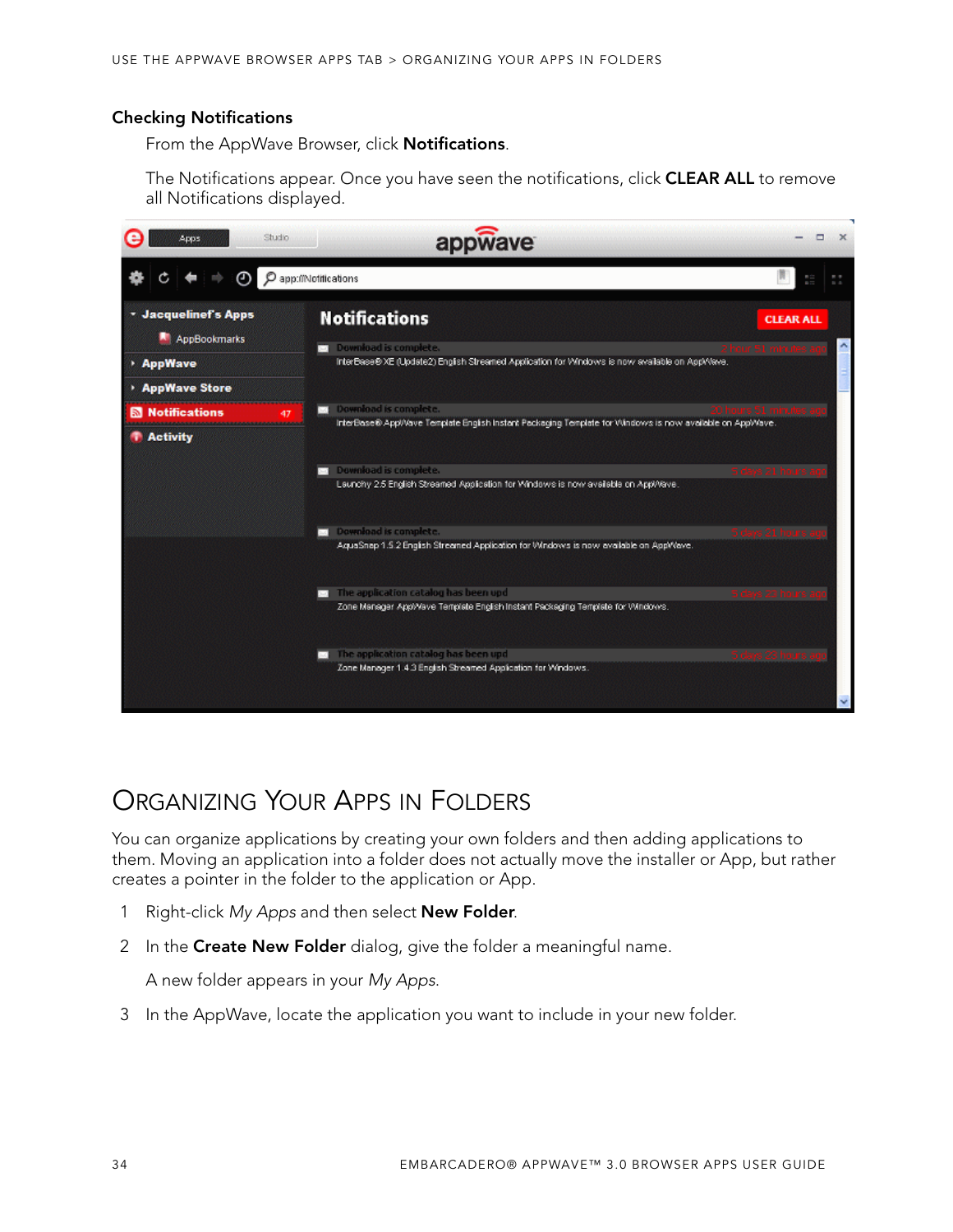#### **Checking Notifications**

<span id="page-33-3"></span>From the AppWave Browser, click **Notifications**.

The Notifications appear. Once you have seen the notifications, click **CLEAR ALL** to remove all Notifications displayed.



#### <span id="page-33-0"></span>ORGANIZING YOUR APPS IN FOLDERS

You can organize applications by creating your own folders and then adding applications to them. Moving an application into a folder does not actually move the installer or App, but rather creates a pointer in the folder to the application or App.

- 1 Right-click My Apps and then select **New Folder**.
- 2 In the **Create New Folder** dialog, give the folder a meaningful name.

<span id="page-33-2"></span><span id="page-33-1"></span>A new folder appears in your My Apps.

3 In the AppWave, locate the application you want to include in your new folder.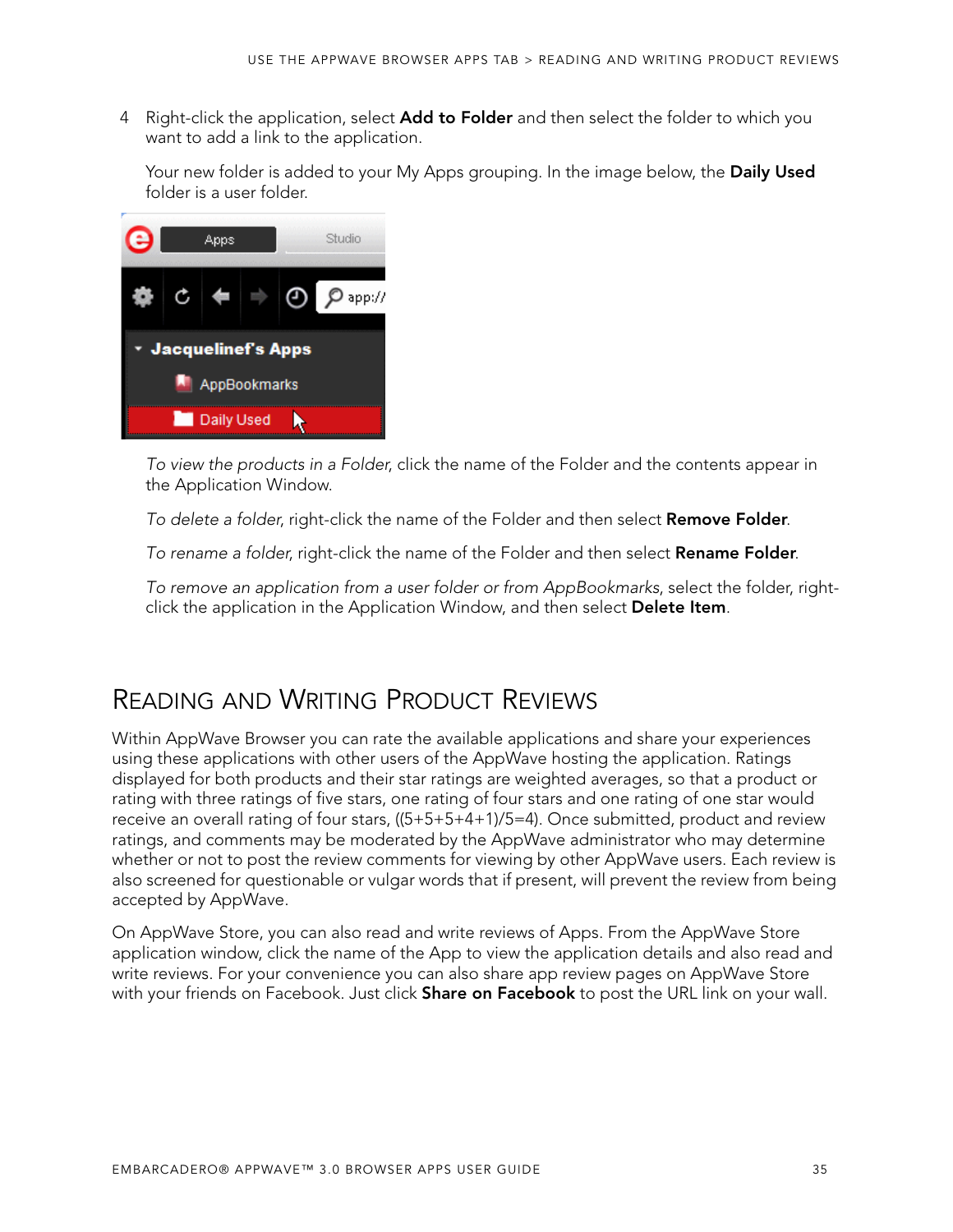4 Right-click the application, select **Add to Folder** and then select the folder to which you want to add a link to the application.

Your new folder is added to your My Apps grouping. In the image below, the **Daily Used** folder is a user folder.



To view the products in a Folder, click the name of the Folder and the contents appear in the Application Window.

<span id="page-34-2"></span>To delete a folder, right-click the name of the Folder and then select **Remove Folder**.

<span id="page-34-3"></span>To rename a folder, right-click the name of the Folder and then select **Rename Folder**.

<span id="page-34-1"></span>To remove an application from a user folder or from AppBookmarks, select the folder, rightclick the application in the Application Window, and then select **Delete Item**.

#### <span id="page-34-0"></span>READING AND WRITING PRODUCT REVIEWS

Within AppWave Browser you can rate the available applications and share your experiences using these applications with other users of the AppWave hosting the application. Ratings displayed for both products and their star ratings are weighted averages, so that a product or rating with three ratings of five stars, one rating of four stars and one rating of one star would receive an overall rating of four stars, ((5+5+5+4+1)/5=4). Once submitted, product and review ratings, and comments may be moderated by the AppWave administrator who may determine whether or not to post the review comments for viewing by other AppWave users. Each review is also screened for questionable or vulgar words that if present, will prevent the review from being accepted by AppWave.

<span id="page-34-4"></span>On AppWave Store, you can also read and write reviews of Apps. From the AppWave Store application window, click the name of the App to view the application details and also read and write reviews. For your convenience you can also share app review pages on AppWave Store with your friends on Facebook. Just click **Share on Facebook** to post the URL link on your wall.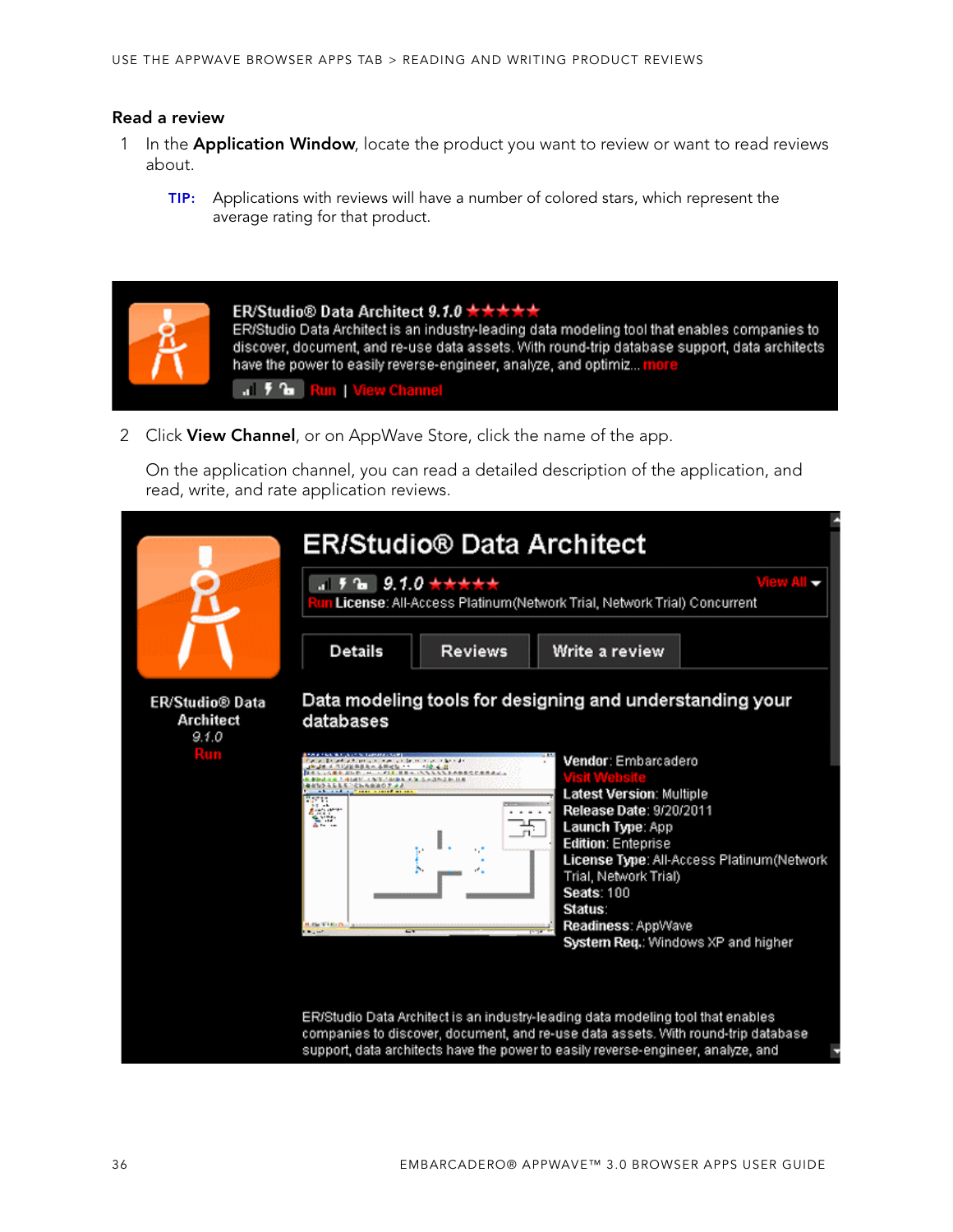#### **Read a review**

- 1 In the **Application Window**, locate the product you want to review or want to read reviews about.
	- **TIP:** Applications with reviews will have a number of colored stars, which represent the average rating for that product.

| ER/Studio <sup>®</sup> Data Architect 9.1.0 $\star \star \star \star \star$<br>ER/Studio Data Architect is an industry-leading data modeling tool that enables companies to<br>Ă,<br>discover, document, and re-use data assets. With round-trip database support, data architects<br>have the power to easily reverse-engineer, analyze, and optimiz<br>$\blacksquare$ $\blacktriangleright$ $\blacksquare$ Run   View Channel |  |
|---------------------------------------------------------------------------------------------------------------------------------------------------------------------------------------------------------------------------------------------------------------------------------------------------------------------------------------------------------------------------------------------------------------------------------|--|
|---------------------------------------------------------------------------------------------------------------------------------------------------------------------------------------------------------------------------------------------------------------------------------------------------------------------------------------------------------------------------------------------------------------------------------|--|

2 Click **View Channel**, or on AppWave Store, click the name of the app.

<span id="page-35-2"></span><span id="page-35-1"></span><span id="page-35-0"></span>On the application channel, you can read a detailed description of the application, and read, write, and rate application reviews.

|                                                     | <b>ER/Studio® Data Architect</b>                                                                                                                                                                                                                         |                                                                                                                                                                                                                                                                                               |  |  |
|-----------------------------------------------------|----------------------------------------------------------------------------------------------------------------------------------------------------------------------------------------------------------------------------------------------------------|-----------------------------------------------------------------------------------------------------------------------------------------------------------------------------------------------------------------------------------------------------------------------------------------------|--|--|
|                                                     | $.52.9.10 + + + +$<br>View All <del>v</del><br><mark>in License</mark> : All-Access Platinum(Network Trial, Network Trial) Concurrent                                                                                                                    |                                                                                                                                                                                                                                                                                               |  |  |
|                                                     | <b>Details</b><br><b>Reviews</b>                                                                                                                                                                                                                         | Write a review                                                                                                                                                                                                                                                                                |  |  |
| <b>ER/Studio® Data</b><br>Architect<br>9.1.0<br>Run | Data modeling tools for designing and understanding your<br>databases<br>En und und an und man und form in und make the<br>微裂角的 基脲键数 计二十字数 人名<br>计压塞式制造压力 医正正性正数 杜林<br><b>MAR</b><br>ginn ynw<br>y.                                                      | Vendor: Embarcadero<br>Latest Version: Multiple<br>Release Date: 9/20/2011<br>Launch Type: App<br><b>Edition: Enteprise</b><br>License Type: All-Access Platinum(Network<br>Trial, Network Trial)<br><b>Seats: 100</b><br>Status:<br>Readiness: AppWave<br>System Req.: Windows XP and higher |  |  |
|                                                     | ER/Studio Data Architect is an industry-leading data modeling tool that enables<br>companies to discover, document, and re-use data assets. With round-trip database<br>support, data architects have the power to easily reverse-engineer, analyze, and |                                                                                                                                                                                                                                                                                               |  |  |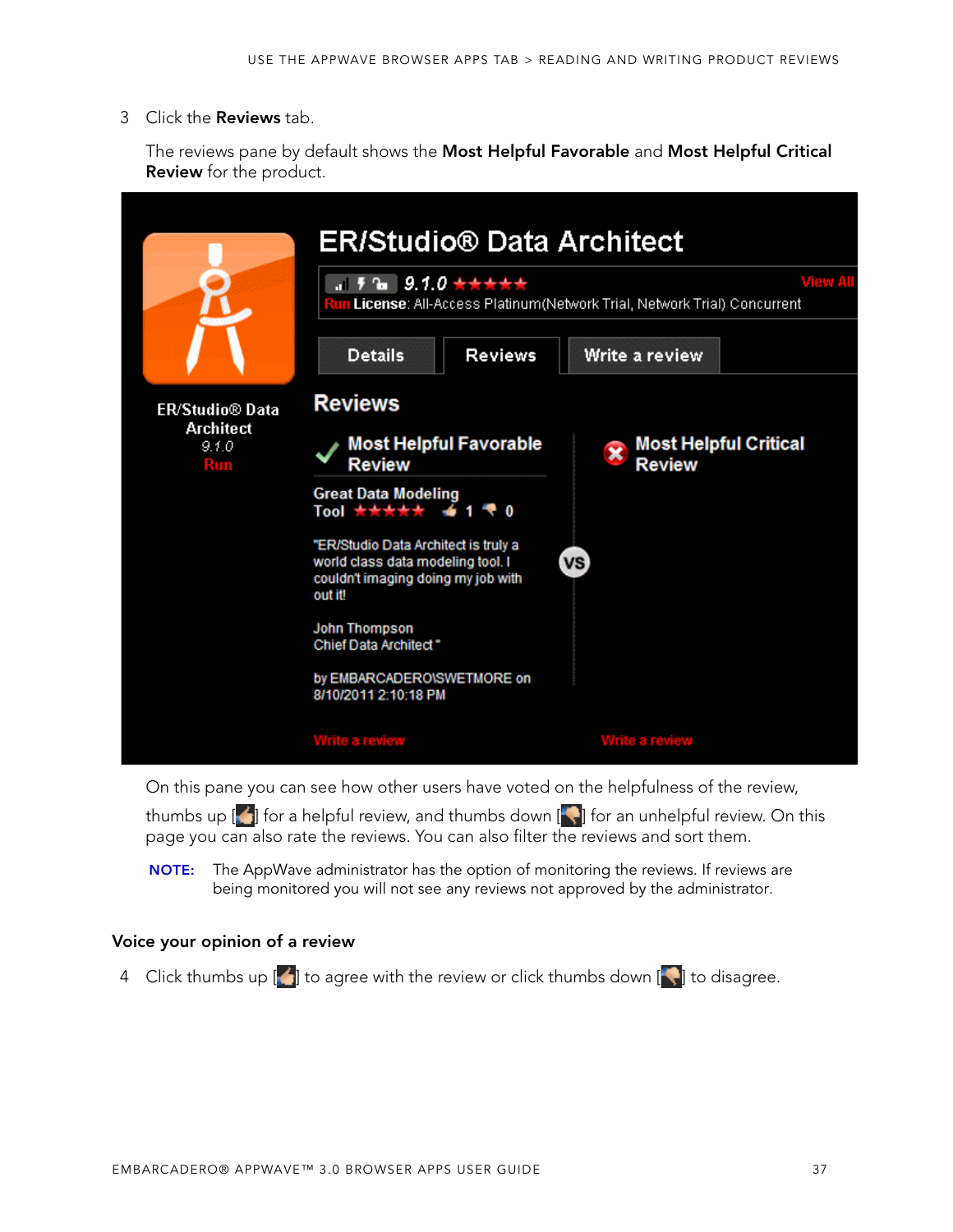#### 3 Click the **Reviews** tab.

<span id="page-36-0"></span>The reviews pane by default shows the **Most Helpful Favorable** and **Most Helpful Critical Review** for the product.

|                                  | <b>ER/Studio® Data Architect</b><br><b>View All</b><br>。 テ?m 9.1.0 ★★★★★<br>Run License: All-Access Platinum(Network Trial, Network Trial) Concurrent |                                                                          |  |
|----------------------------------|-------------------------------------------------------------------------------------------------------------------------------------------------------|--------------------------------------------------------------------------|--|
|                                  | <b>Details</b><br><b>Reviews</b>                                                                                                                      | Write a review                                                           |  |
| <b>ER/Studio® Data</b>           | <b>Reviews</b>                                                                                                                                        |                                                                          |  |
| <b>Architect</b><br>9.1.0<br>Run | <b>Most Helpful Favorable</b><br><b>Review</b>                                                                                                        | <b>Most Helpful Critical</b><br>$\overline{\mathbf{x}}$<br><b>Review</b> |  |
|                                  | <b>Great Data Modeling</b><br>Tool <del>★★★★★</del> ● 1 ♥ 0                                                                                           |                                                                          |  |
|                                  | "ER/Studio Data Architect is truly a<br>world class data modeling tool. I<br>couldn't imaging doing my job with<br>out it!                            | <b>VS</b>                                                                |  |
|                                  | <b>John Thompson</b><br>Chief Data Architect "                                                                                                        |                                                                          |  |
|                                  | by EMBARCADERO\SWETMORE on<br>8/10/2011 2:10:18 PM                                                                                                    |                                                                          |  |
|                                  | Write a review                                                                                                                                        | Write a review                                                           |  |

On this pane you can see how other users have voted on the helpfulness of the review,

thumbs up  $\lfloor \blacktriangle \rfloor$  for a helpful review, and thumbs down  $\lfloor \blacktriangle \rfloor$  for an unhelpful review. On this page you can also rate the reviews. You can also filter the reviews and sort them.

<span id="page-36-2"></span><span id="page-36-1"></span>**NOTE:** The AppWave administrator has the option of monitoring the reviews. If reviews are being monitored you will not see any reviews not approved by the administrator.

#### **Voice your opinion of a review**

4 Click thumbs up  $\lceil \cdot \rceil$  to agree with the review or click thumbs down  $\lceil \cdot \rceil$  to disagree.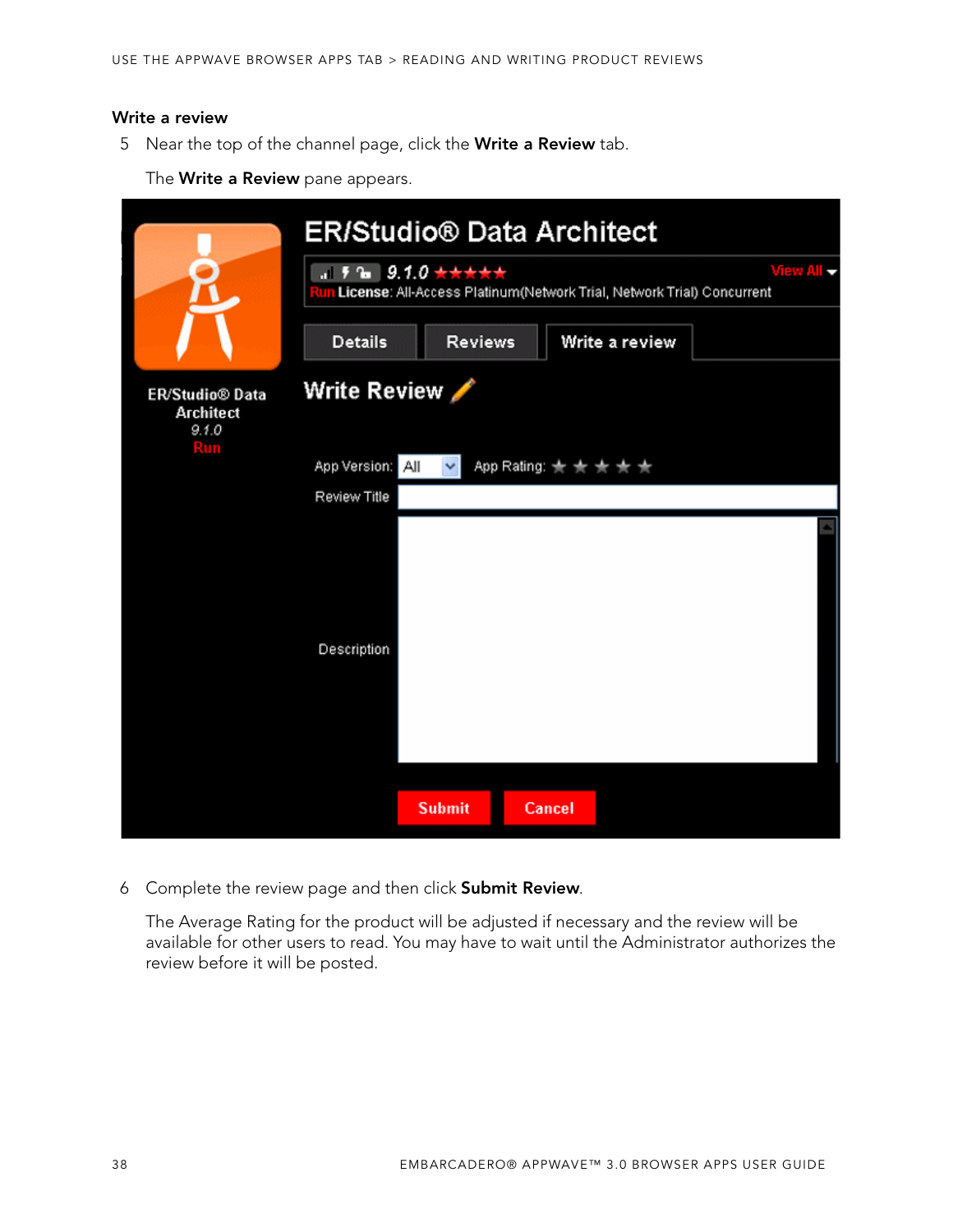#### **Write a review**

5 Near the top of the channel page, click the **Write a Review** tab.

<span id="page-37-2"></span><span id="page-37-0"></span>The **Write a Review** pane appears.

|                                              | <b>ER/Studio® Data Architect</b>                                                                                                  |                |                       |                |            |
|----------------------------------------------|-----------------------------------------------------------------------------------------------------------------------------------|----------------|-----------------------|----------------|------------|
|                                              | $.5a$ 3.1.0 $\star\star\star\star\star$<br><mark>un License</mark> : All-Access Platinum(Network Trial, Network Trial) Concurrent |                |                       |                | View All - |
|                                              | <b>Details</b>                                                                                                                    | <b>Reviews</b> |                       | Write a review |            |
| ER/Studio® Data<br><b>Architect</b><br>9.1.0 | Write Review                                                                                                                      |                |                       |                |            |
| Run                                          | App Version: All                                                                                                                  |                | App Rating: ★ ★ ★ ★ ★ |                |            |
|                                              | Review Title                                                                                                                      |                |                       |                |            |
|                                              |                                                                                                                                   |                |                       |                |            |
|                                              | Description                                                                                                                       |                |                       |                |            |
|                                              |                                                                                                                                   |                |                       |                |            |
|                                              |                                                                                                                                   | <b>Submit</b>  | <b>Cancel</b>         |                |            |

6 Complete the review page and then click **Submit Review**.

<span id="page-37-1"></span>The Average Rating for the product will be adjusted if necessary and the review will be available for other users to read. You may have to wait until the Administrator authorizes the review before it will be posted.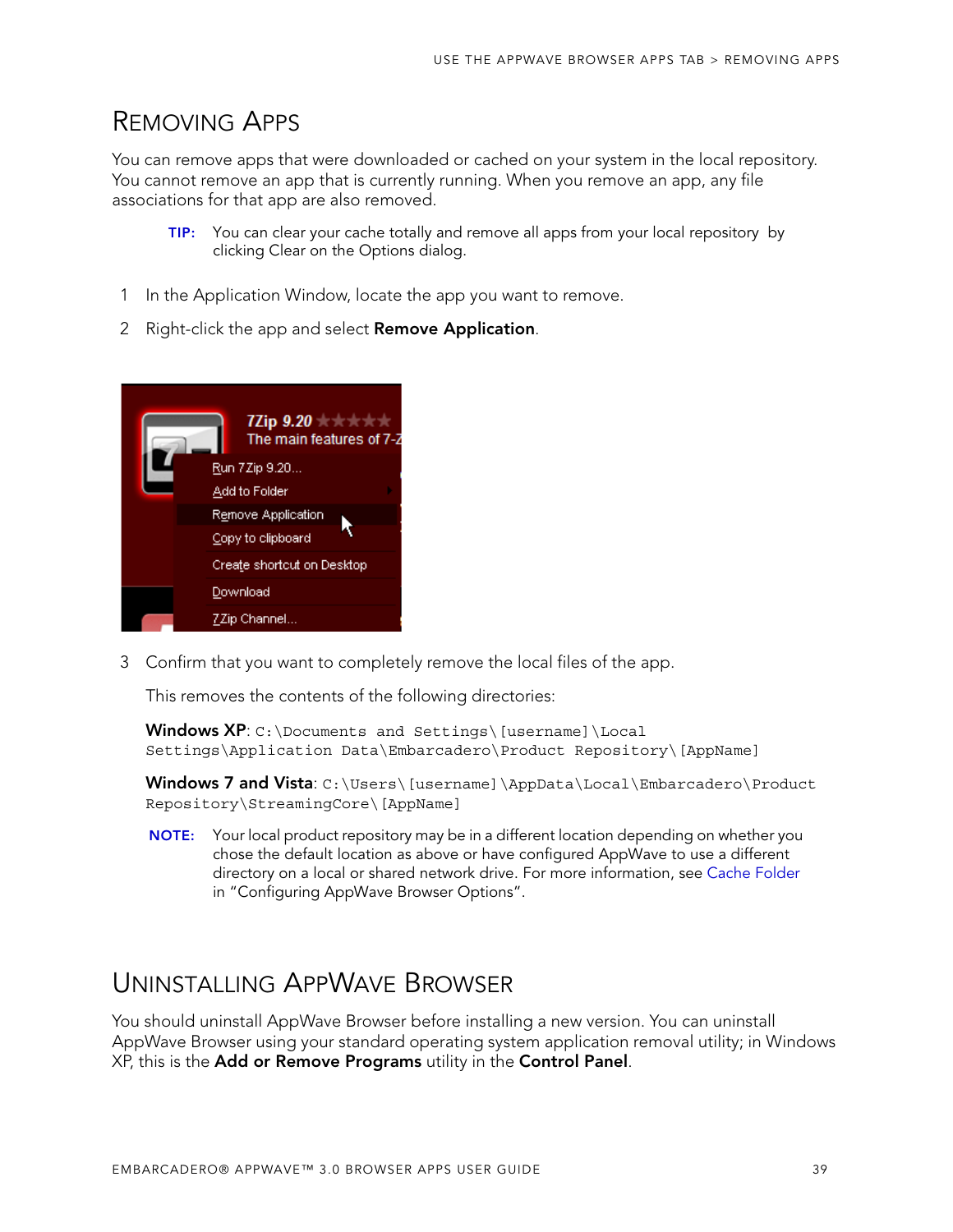### <span id="page-38-0"></span>REMOVING APPS

You can remove apps that were downloaded or cached on your system in the local repository. You cannot remove an app that is currently running. When you remove an app, any file associations for that app are also removed.

- <span id="page-38-2"></span>**TIP:** You can clear your cache totally and remove all apps from your local repository by clicking Clear on the Options dialog.
- 1 In the Application Window, locate the app you want to remove.
- 2 Right-click the app and select **Remove Application**.



3 Confirm that you want to completely remove the local files of the app.

This removes the contents of the following directories:

**Windows XP:** C:\Documents and Settings\[username]\Local Settings\Application Data\Embarcadero\Product Repository\[AppName]

**Windows 7 and Vista**: C:\Users\[username]\AppData\Local\Embarcadero\Product Repository\StreamingCore\[AppName]

**NOTE:** Your local product repository may be in a different location depending on whether you chose the default location as above or have configured AppWave to use a different directory on a local or shared network drive. For more information, see [Cache Folder](#page-9-0) in "Configuring AppWave Browser Options".

#### <span id="page-38-1"></span>UNINSTALLING APPWAVE BROWSER

You should uninstall AppWave Browser before installing a new version. You can uninstall AppWave Browser using your standard operating system application removal utility; in Windows XP, this is the **Add or Remove Programs** utility in the **Control Panel**.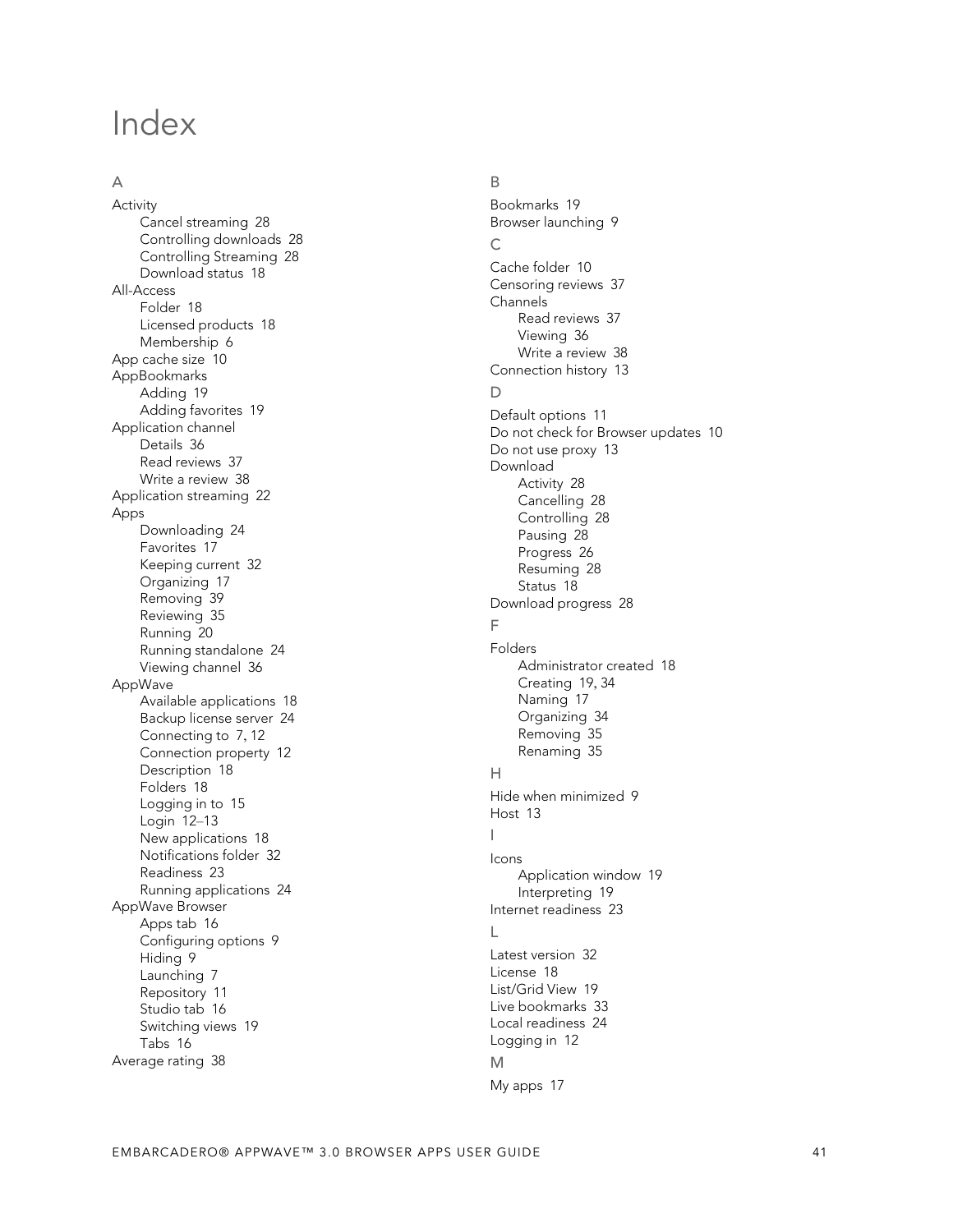## <span id="page-40-0"></span>Index

A Activity Cancel streaming [28](#page-27-1) Controlling downloads [28](#page-27-2) Controlling Streaming [28](#page-27-2) Download status [18](#page-17-0) All-Access Folder [18](#page-17-1) Licensed products [18](#page-17-1) Membership [6](#page-5-1) App cache size [10](#page-9-1) AppBookmarks Adding [19](#page-18-0) Adding favorites [19](#page-18-1) Application channel Details [36](#page-35-0) Read reviews [37](#page-36-0) Write a review [38](#page-37-0) Application streaming [22](#page-21-1) Apps Downloading [24](#page-23-3) Favorites [17](#page-16-0) Keeping current [32](#page-31-1) Organizing [17](#page-16-1) Removing [39](#page-38-2) Reviewing [35](#page-34-1) Running [20](#page-19-0) Running standalone [24](#page-23-4) Viewing channel [36](#page-35-1) AppWave Available applications [18](#page-17-2) Backup license server [24](#page-23-5) Connecting to [7](#page-6-3), [12](#page-11-1) Connection property [12](#page-11-2) Description [18](#page-17-2) Folders [18](#page-17-3) Logging in to [15](#page-14-2) Login [12](#page-11-3)–[13](#page-12-0) New applications [18](#page-17-2) Notifications folder [32](#page-31-2) Readiness [23](#page-22-1) Running applications [24](#page-23-5) AppWave Browser Apps tab [16](#page-15-1) Configuring options [9](#page-8-3) Hiding [9](#page-8-4) Launching [7](#page-6-4) Repository [11](#page-10-0) Studio tab [16](#page-15-2) Switching views [19](#page-18-2) Tabs [16](#page-15-3) Average rating [38](#page-37-1)

B Bookmarks [19](#page-18-3) Browser launching [9](#page-8-5)  $\mathsf{C}$ Cache folder [10](#page-9-2) Censoring reviews [37](#page-36-1) Channels Read reviews [37](#page-36-0) Viewing [36](#page-35-1) Write a review [38](#page-37-0) Connection history [13](#page-12-1) D Default options [11](#page-10-1) Do not check for Browser updates [10](#page-9-3) Do not use proxy [13](#page-12-2) Download Activity [28](#page-27-1) Cancelling [28](#page-27-1) Controlling [28](#page-27-2) Pausing [28](#page-27-3) Progress [26](#page-25-0) Resuming [28](#page-27-3) Status [18](#page-17-4) Download progress [28](#page-27-4) F Folders Administrator created [18](#page-17-5) Creating [19](#page-18-4), [34](#page-33-1) Naming [17](#page-16-1) Organizing [34](#page-33-2) Removing [35](#page-34-2) Renaming [35](#page-34-3) H Hide when minimized [9](#page-8-4) Host [13](#page-12-3) I Icons Application window [19](#page-18-5) Interpreting [19](#page-18-5) Internet readiness [23](#page-22-2) L Latest version [32](#page-31-1) License [18](#page-17-1) List/Grid View [19](#page-18-6) Live bookmarks [33](#page-32-0) Local readiness [24](#page-23-6) Logging in [12](#page-11-4) M

My apps [17](#page-16-2)